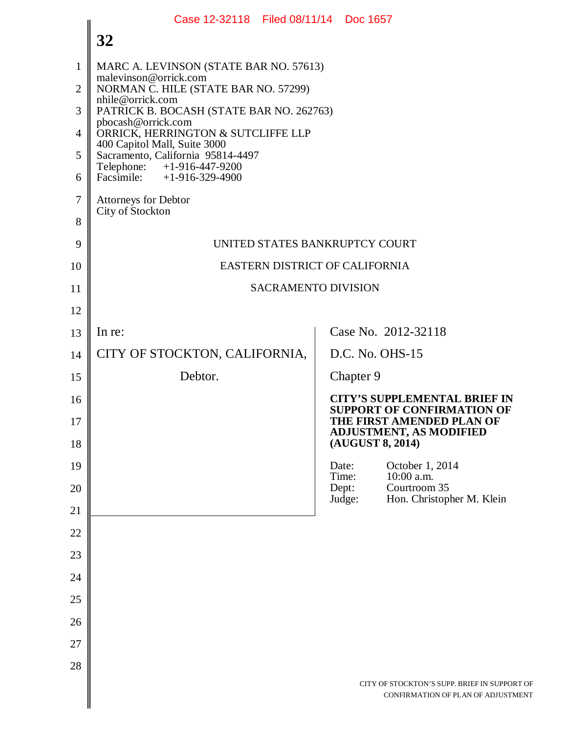|                | Case 12-32118 Filed 08/11/14 Doc 1657                              |                  |                                                                                                                                         |
|----------------|--------------------------------------------------------------------|------------------|-----------------------------------------------------------------------------------------------------------------------------------------|
|                | 32                                                                 |                  |                                                                                                                                         |
| 1              | MARC A. LEVINSON (STATE BAR NO. 57613)<br>malevinson@orrick.com    |                  |                                                                                                                                         |
| 2              | NORMAN C. HILE (STATE BAR NO. 57299)<br>nhile@orrick.com           |                  |                                                                                                                                         |
| 3              | PATRICK B. BOCASH (STATE BAR NO. 262763)<br>pbocash@orrick.com     |                  |                                                                                                                                         |
| $\overline{4}$ | ORRICK, HERRINGTON & SUTCLIFFE LLP<br>400 Capitol Mall, Suite 3000 |                  |                                                                                                                                         |
| 5              | Sacramento, California 95814-4497<br>Telephone: $+1-916-447-9200$  |                  |                                                                                                                                         |
| 6              | Facsimile: +1-916-329-4900                                         |                  |                                                                                                                                         |
| 7              | <b>Attorneys for Debtor</b><br>City of Stockton                    |                  |                                                                                                                                         |
| 8              |                                                                    |                  |                                                                                                                                         |
| 9              | UNITED STATES BANKRUPTCY COURT                                     |                  |                                                                                                                                         |
| 10             | EASTERN DISTRICT OF CALIFORNIA                                     |                  |                                                                                                                                         |
| 11             | <b>SACRAMENTO DIVISION</b>                                         |                  |                                                                                                                                         |
| 12             |                                                                    |                  |                                                                                                                                         |
| 13             | In re:                                                             |                  | Case No. 2012-32118                                                                                                                     |
| 14             | CITY OF STOCKTON, CALIFORNIA,                                      | D.C. No. OHS-15  |                                                                                                                                         |
| 15             | Debtor.                                                            | Chapter 9        |                                                                                                                                         |
| 16<br>17       |                                                                    |                  | <b>CITY'S SUPPLEMENTAL BRIEF IN</b><br><b>SUPPORT OF CONFIRMATION OF</b><br>THE FIRST AMENDED PLAN OF<br><b>ADJUSTMENT, AS MODIFIED</b> |
| 18             |                                                                    | (AUGUST 8, 2014) |                                                                                                                                         |
| 19             |                                                                    | Date:<br>Time:   | October 1, 2014<br>10:00 a.m.                                                                                                           |
| 20             |                                                                    | Dept:<br>Judge:  | Courtroom 35<br>Hon. Christopher M. Klein                                                                                               |
| 21             |                                                                    |                  |                                                                                                                                         |
| 22             |                                                                    |                  |                                                                                                                                         |
| 23             |                                                                    |                  |                                                                                                                                         |
| 24             |                                                                    |                  |                                                                                                                                         |
| 25             |                                                                    |                  |                                                                                                                                         |
| 26             |                                                                    |                  |                                                                                                                                         |
| 27             |                                                                    |                  |                                                                                                                                         |
| 28             |                                                                    |                  |                                                                                                                                         |
|                |                                                                    |                  | CITY OF STOCKTON'S SUPP. BRIEF IN SUPPORT OF<br>CONFIRMATION OF PLAN OF ADJUSTMENT                                                      |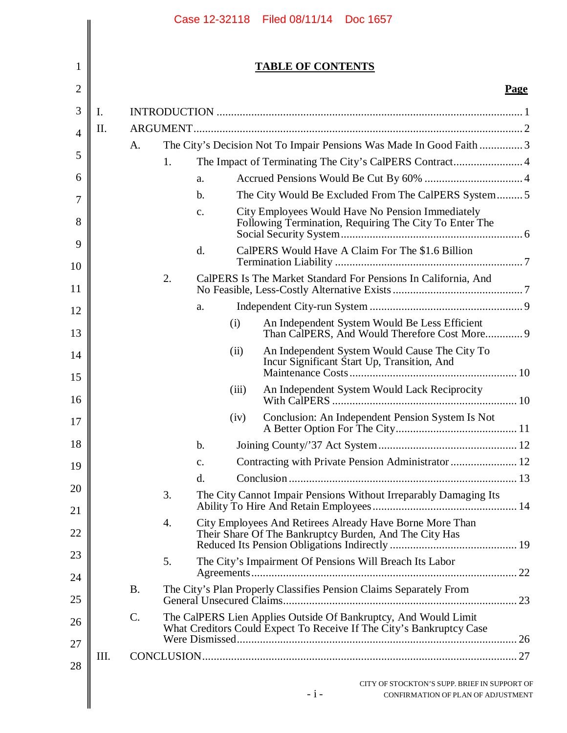|      |                 |    |                |       | <b>TABLE OF CONTENTS</b>                                                                                                                |             |
|------|-----------------|----|----------------|-------|-----------------------------------------------------------------------------------------------------------------------------------------|-------------|
|      |                 |    |                |       |                                                                                                                                         | <b>Page</b> |
| I.   |                 |    |                |       |                                                                                                                                         |             |
| II.  |                 |    |                |       |                                                                                                                                         |             |
|      | A.              |    |                |       | The City's Decision Not To Impair Pensions Was Made In Good Faith  3                                                                    |             |
|      |                 | 1. |                |       | The Impact of Terminating The City's CalPERS Contract 4                                                                                 |             |
|      |                 |    | a.             |       |                                                                                                                                         |             |
|      |                 |    | $\mathbf b$ .  |       | The City Would Be Excluded From The CalPERS System5                                                                                     |             |
|      |                 |    | c.             |       | City Employees Would Have No Pension Immediately<br>Following Termination, Requiring The City To Enter The                              |             |
|      |                 |    | $\mathbf{d}$ . |       | CalPERS Would Have A Claim For The \$1.6 Billion                                                                                        |             |
|      |                 | 2. |                |       | CalPERS Is The Market Standard For Pensions In California, And                                                                          |             |
|      |                 |    | a.             |       |                                                                                                                                         |             |
|      |                 |    |                | (i)   | An Independent System Would Be Less Efficient<br>Than CalPERS, And Would Therefore Cost More 9                                          |             |
|      |                 |    |                | (ii)  | An Independent System Would Cause The City To<br>Incur Significant Start Up, Transition, And                                            |             |
|      |                 |    |                | (iii) | An Independent System Would Lack Reciprocity                                                                                            |             |
|      |                 |    |                | (iv)  | Conclusion: An Independent Pension System Is Not                                                                                        |             |
|      |                 |    | b.             |       |                                                                                                                                         |             |
|      |                 |    | c.             |       | Contracting with Private Pension Administrator  12                                                                                      |             |
|      |                 |    | $\mathbf{d}$ . |       |                                                                                                                                         |             |
|      |                 | 3. |                |       | The City Cannot Impair Pensions Without Irreparably Damaging Its                                                                        |             |
|      |                 | 4. |                |       | City Employees And Retirees Already Have Borne More Than<br>Their Share Of The Bankruptcy Burden, And The City Has                      |             |
|      |                 | 5. |                |       | The City's Impairment Of Pensions Will Breach Its Labor                                                                                 |             |
|      | <b>B.</b>       |    |                |       | The City's Plan Properly Classifies Pension Claims Separately From                                                                      |             |
|      | $\mathcal{C}$ . |    |                |       | The CalPERS Lien Applies Outside Of Bankruptcy, And Would Limit<br>What Creditors Could Expect To Receive If The City's Bankruptcy Case |             |
| III. |                 |    |                |       |                                                                                                                                         |             |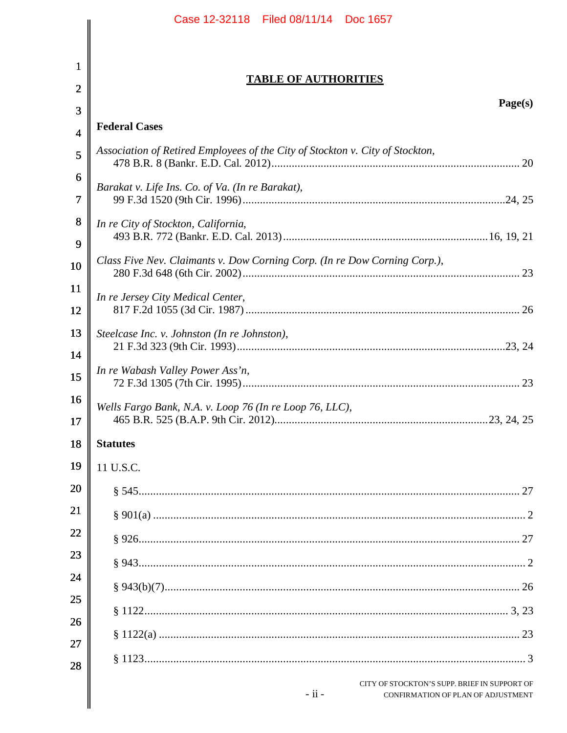|                | Case 12-32118   Filed 08/11/14   Doc 1657                                                     |
|----------------|-----------------------------------------------------------------------------------------------|
|                |                                                                                               |
| $\mathbf 1$    |                                                                                               |
| $\overline{2}$ | <b>TABLE OF AUTHORITIES</b>                                                                   |
| 3              | Page(s)                                                                                       |
| $\overline{4}$ | <b>Federal Cases</b>                                                                          |
| 5              | Association of Retired Employees of the City of Stockton v. City of Stockton,                 |
| 6              |                                                                                               |
| 7              | Barakat v. Life Ins. Co. of Va. (In re Barakat),                                              |
| 8              | In re City of Stockton, California,                                                           |
| 9              |                                                                                               |
| 10             | Class Five Nev. Claimants v. Dow Corning Corp. (In re Dow Corning Corp.),                     |
| <b>11</b>      | In re Jersey City Medical Center,                                                             |
| 12             |                                                                                               |
| 13             | Steelcase Inc. v. Johnston (In re Johnston),                                                  |
| 14             |                                                                                               |
| 15             | In re Wabash Valley Power Ass'n,                                                              |
| 16             | Wells Fargo Bank, N.A. v. Loop 76 (In re Loop 76, LLC),                                       |
| 17             |                                                                                               |
| 18             | <b>Statutes</b>                                                                               |
| 19             | 11 U.S.C.                                                                                     |
| 20             |                                                                                               |
| 21             |                                                                                               |
| 22             |                                                                                               |
| 23             |                                                                                               |
| 24             |                                                                                               |
| 25             |                                                                                               |
| 26             |                                                                                               |
| 27             |                                                                                               |
| 28             |                                                                                               |
|                | CITY OF STOCKTON'S SUPP. BRIEF IN SUPPORT OF<br>$-ii -$<br>CONFIRMATION OF PLAN OF ADJUSTMENT |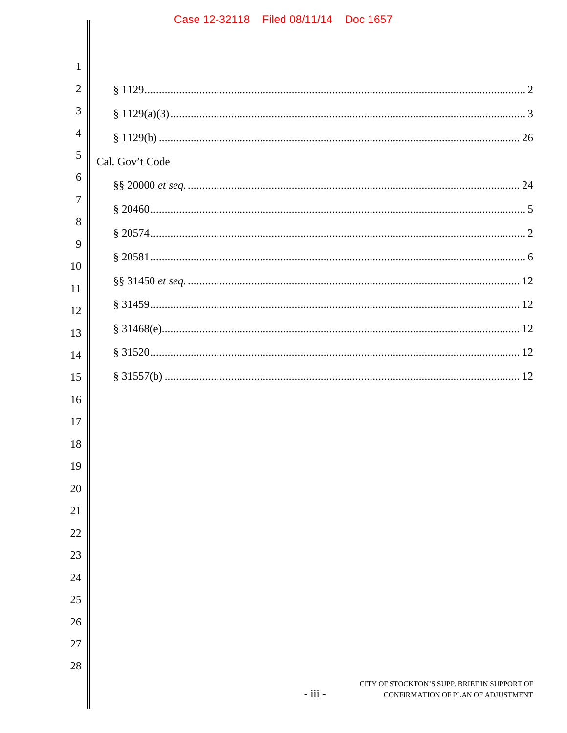# Case 12-32118 Filed 08/11/14 Doc 1657  $\mathbf{1}$  $\overline{2}$  $\overline{4}$ Cal. Gov't Code  $\overline{7}$  $§ 31520....$ CITY OF STOCKTON'S SUPP. BRIEF IN SUPPORT OF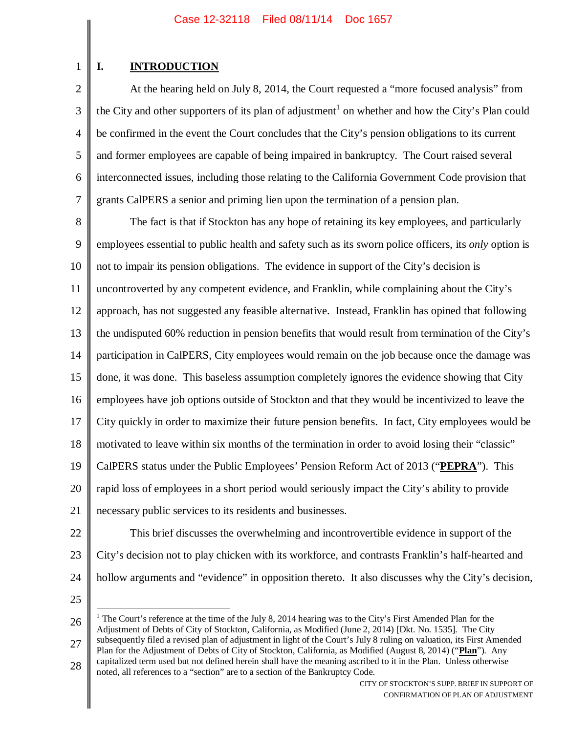# **I. INTRODUCTION**

1

2 3 4 5 6 7 At the hearing held on July 8, 2014, the Court requested a "more focused analysis" from the City and other supporters of its plan of adjustment<sup>1</sup> on whether and how the City's Plan could be confirmed in the event the Court concludes that the City's pension obligations to its current and former employees are capable of being impaired in bankruptcy. The Court raised several interconnected issues, including those relating to the California Government Code provision that grants CalPERS a senior and priming lien upon the termination of a pension plan.

8 9 10 11 12 13 14 15 16 17 18 19 20 21 The fact is that if Stockton has any hope of retaining its key employees, and particularly employees essential to public health and safety such as its sworn police officers, its *only* option is not to impair its pension obligations. The evidence in support of the City's decision is uncontroverted by any competent evidence, and Franklin, while complaining about the City's approach, has not suggested any feasible alternative. Instead, Franklin has opined that following the undisputed 60% reduction in pension benefits that would result from termination of the City's participation in CalPERS, City employees would remain on the job because once the damage was done, it was done. This baseless assumption completely ignores the evidence showing that City employees have job options outside of Stockton and that they would be incentivized to leave the City quickly in order to maximize their future pension benefits. In fact, City employees would be motivated to leave within six months of the termination in order to avoid losing their "classic" CalPERS status under the Public Employees' Pension Reform Act of 2013 ("**PEPRA**"). This rapid loss of employees in a short period would seriously impact the City's ability to provide necessary public services to its residents and businesses.

22

23 24 This brief discusses the overwhelming and incontrovertible evidence in support of the City's decision not to play chicken with its workforce, and contrasts Franklin's half-hearted and hollow arguments and "evidence" in opposition thereto. It also discusses why the City's decision,

25

26 27 <sup>1</sup> The Court's reference at the time of the July 8, 2014 hearing was to the City's First Amended Plan for the Adjustment of Debts of City of Stockton, California, as Modified (June 2, 2014) [Dkt. No. 1535]. The City subsequently filed a revised plan of adjustment in light of the Court's July 8 ruling on valuation, its First Amended Plan for the Adjustment of Debts of City of Stockton, California, as Modified (August 8, 2014) ("**Plan**"). Any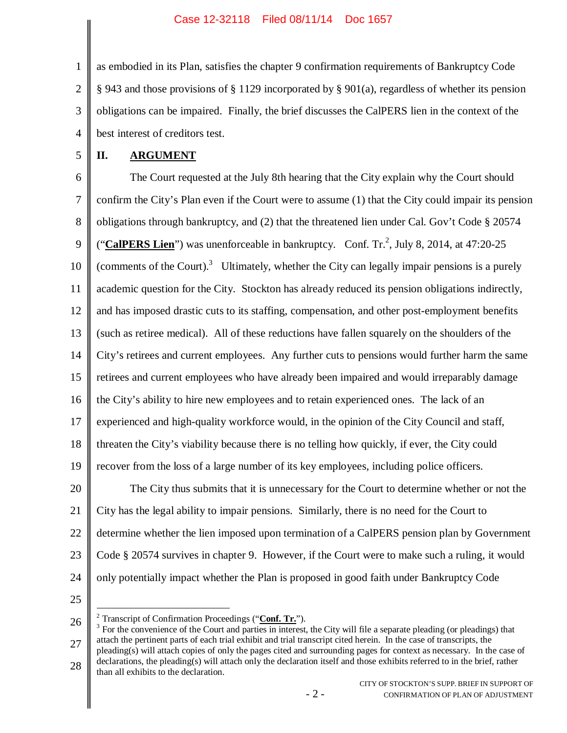1 2 3 4 as embodied in its Plan, satisfies the chapter 9 confirmation requirements of Bankruptcy Code § 943 and those provisions of § 1129 incorporated by § 901(a), regardless of whether its pension obligations can be impaired. Finally, the brief discusses the CalPERS lien in the context of the best interest of creditors test.

5

# **II. ARGUMENT**

6 7 8 9 10 11 12 13 14 15 16 17 18 19 20 21 22 23 24 The Court requested at the July 8th hearing that the City explain why the Court should confirm the City's Plan even if the Court were to assume (1) that the City could impair its pension obligations through bankruptcy, and (2) that the threatened lien under Cal. Gov't Code § 20574 ("CalPERS Lien") was unenforceable in bankruptcy. Conf. Tr.<sup>2</sup>, July 8, 2014, at 47:20-25 (comments of the Court).<sup>3</sup> Ultimately, whether the City can legally impair pensions is a purely academic question for the City. Stockton has already reduced its pension obligations indirectly, and has imposed drastic cuts to its staffing, compensation, and other post-employment benefits (such as retiree medical). All of these reductions have fallen squarely on the shoulders of the City's retirees and current employees. Any further cuts to pensions would further harm the same retirees and current employees who have already been impaired and would irreparably damage the City's ability to hire new employees and to retain experienced ones. The lack of an experienced and high-quality workforce would, in the opinion of the City Council and staff, threaten the City's viability because there is no telling how quickly, if ever, the City could recover from the loss of a large number of its key employees, including police officers. The City thus submits that it is unnecessary for the Court to determine whether or not the City has the legal ability to impair pensions. Similarly, there is no need for the Court to determine whether the lien imposed upon termination of a CalPERS pension plan by Government Code § 20574 survives in chapter 9. However, if the Court were to make such a ruling, it would only potentially impact whether the Plan is proposed in good faith under Bankruptcy Code

25

<sup>2</sup> Transcript of Confirmation Proceedings ("**Conf. Tr.**").

26 27 28  $3$  For the convenience of the Court and parties in interest, the City will file a separate pleading (or pleadings) that attach the pertinent parts of each trial exhibit and trial transcript cited herein. In the case of transcripts, the pleading(s) will attach copies of only the pages cited and surrounding pages for context as necessary. In the case of declarations, the pleading(s) will attach only the declaration itself and those exhibits referred to in the brief, rather than all exhibits to the declaration.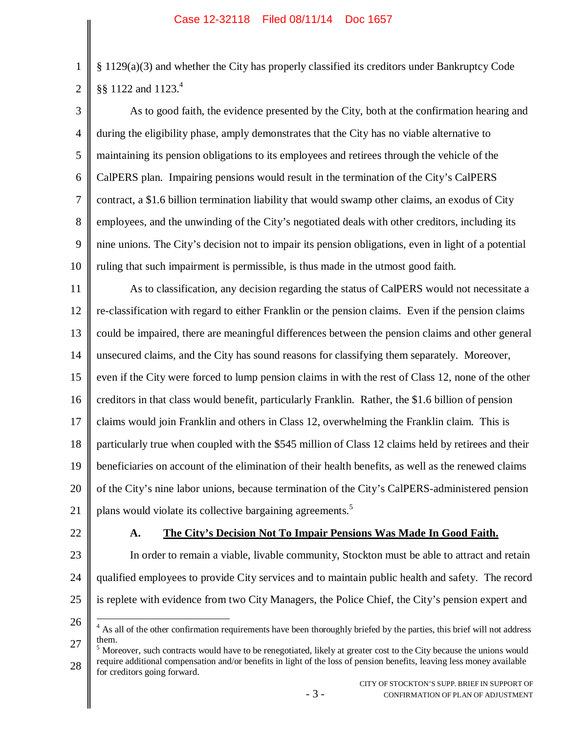§ 1129(a)(3) and whether the City has properly classified its creditors under Bankruptcy Code §§ 1122 and 1123.<sup>4</sup>

3 4 5 6 7 8 9 10 As to good faith, the evidence presented by the City, both at the confirmation hearing and during the eligibility phase, amply demonstrates that the City has no viable alternative to maintaining its pension obligations to its employees and retirees through the vehicle of the CalPERS plan. Impairing pensions would result in the termination of the City's CalPERS contract, a \$1.6 billion termination liability that would swamp other claims, an exodus of City employees, and the unwinding of the City's negotiated deals with other creditors, including its nine unions. The City's decision not to impair its pension obligations, even in light of a potential ruling that such impairment is permissible, is thus made in the utmost good faith.

11 12 13 14 15 16 17 18 19 20 21 As to classification, any decision regarding the status of CalPERS would not necessitate a re-classification with regard to either Franklin or the pension claims. Even if the pension claims could be impaired, there are meaningful differences between the pension claims and other general unsecured claims, and the City has sound reasons for classifying them separately. Moreover, even if the City were forced to lump pension claims in with the rest of Class 12, none of the other creditors in that class would benefit, particularly Franklin. Rather, the \$1.6 billion of pension claims would join Franklin and others in Class 12, overwhelming the Franklin claim. This is particularly true when coupled with the \$545 million of Class 12 claims held by retirees and their beneficiaries on account of the elimination of their health benefits, as well as the renewed claims of the City's nine labor unions, because termination of the City's CalPERS-administered pension plans would violate its collective bargaining agreements.<sup>5</sup>

22

1

2

#### **A. The City's Decision Not To Impair Pensions Was Made In Good Faith.**

- 23 24 25 In order to remain a viable, livable community, Stockton must be able to attract and retain qualified employees to provide City services and to maintain public health and safety. The record is replete with evidence from two City Managers, the Police Chief, the City's pension expert and
- 26

28  $<sup>5</sup>$  Moreover, such contracts would have to be renegotiated, likely at greater cost to the City because the unions would</sup> require additional compensation and/or benefits in light of the loss of pension benefits, leaving less money available for creditors going forward.

<sup>27</sup> <sup>4</sup> As all of the other confirmation requirements have been thoroughly briefed by the parties, this brief will not address them.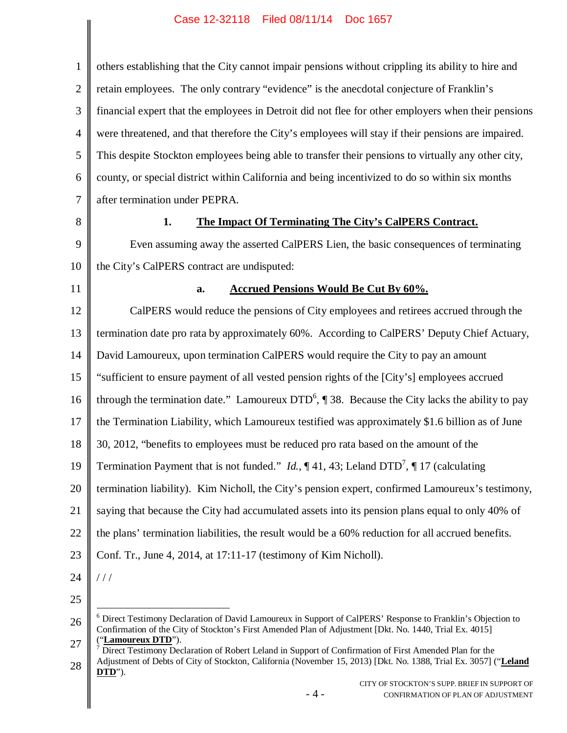$\mathsf{I}$ 

| $\mathbf{1}$   | others establishing that the City cannot impair pensions without crippling its ability to hire and                                                                                                                                              |
|----------------|-------------------------------------------------------------------------------------------------------------------------------------------------------------------------------------------------------------------------------------------------|
| $\mathbf{2}$   | retain employees. The only contrary "evidence" is the anecdotal conjecture of Franklin's                                                                                                                                                        |
| 3              | financial expert that the employees in Detroit did not flee for other employers when their pensions                                                                                                                                             |
| $\overline{4}$ | were threatened, and that therefore the City's employees will stay if their pensions are impaired.                                                                                                                                              |
| 5              | This despite Stockton employees being able to transfer their pensions to virtually any other city,                                                                                                                                              |
| 6              | county, or special district within California and being incentivized to do so within six months                                                                                                                                                 |
| $\tau$         | after termination under PEPRA.                                                                                                                                                                                                                  |
| 8              | 1.<br>The Impact Of Terminating The City's CalPERS Contract.                                                                                                                                                                                    |
| 9              | Even assuming away the asserted CalPERS Lien, the basic consequences of terminating                                                                                                                                                             |
| 10             | the City's CalPERS contract are undisputed:                                                                                                                                                                                                     |
| 11             | <b>Accrued Pensions Would Be Cut By 60%.</b><br>a.                                                                                                                                                                                              |
| 12             | CalPERS would reduce the pensions of City employees and retirees accrued through the                                                                                                                                                            |
| 13             | termination date pro rata by approximately 60%. According to CalPERS' Deputy Chief Actuary,                                                                                                                                                     |
| 14             | David Lamoureux, upon termination CalPERS would require the City to pay an amount                                                                                                                                                               |
| 15             | "sufficient to ensure payment of all vested pension rights of the [City's] employees accrued                                                                                                                                                    |
| 16             | through the termination date." Lamoureux $DTD^6$ , $\llbracket 38$ . Because the City lacks the ability to pay                                                                                                                                  |
| 17             | the Termination Liability, which Lamoureux testified was approximately \$1.6 billion as of June                                                                                                                                                 |
| 18             | 30, 2012, "benefits to employees must be reduced pro rata based on the amount of the                                                                                                                                                            |
| 19             | Termination Payment that is not funded." <i>Id.</i> , $\P$ 41, 43; Leland DTD <sup>7</sup> , $\P$ 17 (calculating                                                                                                                               |
| 20             | termination liability). Kim Nicholl, the City's pension expert, confirmed Lamoureux's testimony,                                                                                                                                                |
| 21             | saying that because the City had accumulated assets into its pension plans equal to only 40% of                                                                                                                                                 |
| 22             | the plans' termination liabilities, the result would be a 60% reduction for all accrued benefits.                                                                                                                                               |
| 23             | Conf. Tr., June 4, 2014, at 17:11-17 (testimony of Kim Nicholl).                                                                                                                                                                                |
| 24             | //                                                                                                                                                                                                                                              |
| 25             |                                                                                                                                                                                                                                                 |
| 26             | <sup>6</sup> Direct Testimony Declaration of David Lamoureux in Support of CalPERS' Response to Franklin's Objection to<br>Confirmation of the City of Stockton's First Amended Plan of Adjustment [Dkt. No. 1440, Trial Ex. 4015]              |
| 27<br>28       | "Lamoureux DTD").<br>Direct Testimony Declaration of Robert Leland in Support of Confirmation of First Amended Plan for the<br>Adjustment of Debts of City of Stockton, California (November 15, 2013) [Dkt. No. 1388, Trial Ex. 3057] ("Leland |
|                | DTD").<br>CITY OF STOCKTON'S SUPP. BRIEF IN SUPPORT OF<br>$-4-$<br>CONFIRMATION OF PLAN OF ADJUSTMENT                                                                                                                                           |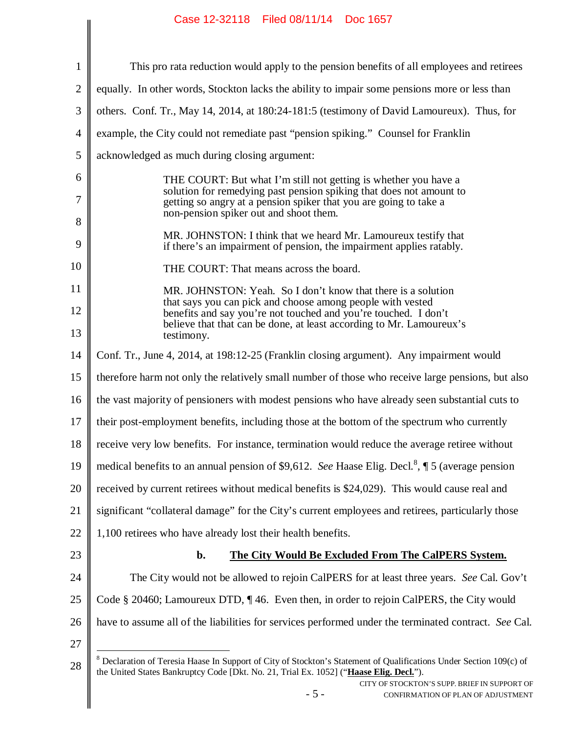|                | Case IZ-32118 Filed 08/11/14 DOC 1057                                                                                                                                                                                                                                    |
|----------------|--------------------------------------------------------------------------------------------------------------------------------------------------------------------------------------------------------------------------------------------------------------------------|
| $\mathbf{1}$   | This pro rata reduction would apply to the pension benefits of all employees and retirees                                                                                                                                                                                |
| $\overline{2}$ | equally. In other words, Stockton lacks the ability to impair some pensions more or less than                                                                                                                                                                            |
| 3              | others. Conf. Tr., May 14, 2014, at 180:24-181:5 (testimony of David Lamoureux). Thus, for                                                                                                                                                                               |
| $\overline{4}$ | example, the City could not remediate past "pension spiking." Counsel for Franklin                                                                                                                                                                                       |
| 5              | acknowledged as much during closing argument:                                                                                                                                                                                                                            |
| 6              | THE COURT: But what I'm still not getting is whether you have a                                                                                                                                                                                                          |
| 7              | solution for remedying past pension spiking that does not amount to<br>getting so angry at a pension spiker that you are going to take a<br>non-pension spiker out and shoot them.                                                                                       |
| 8<br>9         | MR. JOHNSTON: I think that we heard Mr. Lamoureux testify that<br>if there's an impairment of pension, the impairment applies ratably.                                                                                                                                   |
| 10             | THE COURT: That means across the board.                                                                                                                                                                                                                                  |
| 11             | MR. JOHNSTON: Yeah. So I don't know that there is a solution                                                                                                                                                                                                             |
| 12             | that says you can pick and choose among people with vested<br>benefits and say you're not touched and you're touched. I don't                                                                                                                                            |
| 13             | believe that that can be done, at least according to Mr. Lamoureux's<br>testimony.                                                                                                                                                                                       |
| 14             | Conf. Tr., June 4, 2014, at 198:12-25 (Franklin closing argument). Any impairment would                                                                                                                                                                                  |
| 15             | therefore harm not only the relatively small number of those who receive large pensions, but also                                                                                                                                                                        |
| 16             | the vast majority of pensioners with modest pensions who have already seen substantial cuts to                                                                                                                                                                           |
| 17             | their post-employment benefits, including those at the bottom of the spectrum who currently                                                                                                                                                                              |
| 18             | receive very low benefits. For instance, termination would reduce the average retiree without                                                                                                                                                                            |
| 19             | medical benefits to an annual pension of \$9,612. See Haase Elig. Decl. <sup>8</sup> , $\parallel$ 5 (average pension                                                                                                                                                    |
| 20             | received by current retirees without medical benefits is \$24,029). This would cause real and                                                                                                                                                                            |
| 21             | significant "collateral damage" for the City's current employees and retirees, particularly those                                                                                                                                                                        |
| 22             | 1,100 retirees who have already lost their health benefits.                                                                                                                                                                                                              |
| 23             | b.<br>The City Would Be Excluded From The CalPERS System.                                                                                                                                                                                                                |
| 24             | The City would not be allowed to rejoin CalPERS for at least three years. See Cal. Gov't                                                                                                                                                                                 |
| 25             | Code § 20460; Lamoureux DTD, ¶46. Even then, in order to rejoin CalPERS, the City would                                                                                                                                                                                  |
| 26             | have to assume all of the liabilities for services performed under the terminated contract. See Cal.                                                                                                                                                                     |
| 27             |                                                                                                                                                                                                                                                                          |
| 28             | <sup>8</sup> Declaration of Teresia Haase In Support of City of Stockton's Statement of Qualifications Under Section 109(c) of<br>the United States Bankruptcy Code [Dkt. No. 21, Trial Ex. 1052] ("Haase Elig. Decl.").<br>CITY OF STOCKTON'S SUPP. BRIEF IN SUPPORT OF |
|                | $-5-$<br>CONFIRMATION OF PLAN OF ADJUSTMENT                                                                                                                                                                                                                              |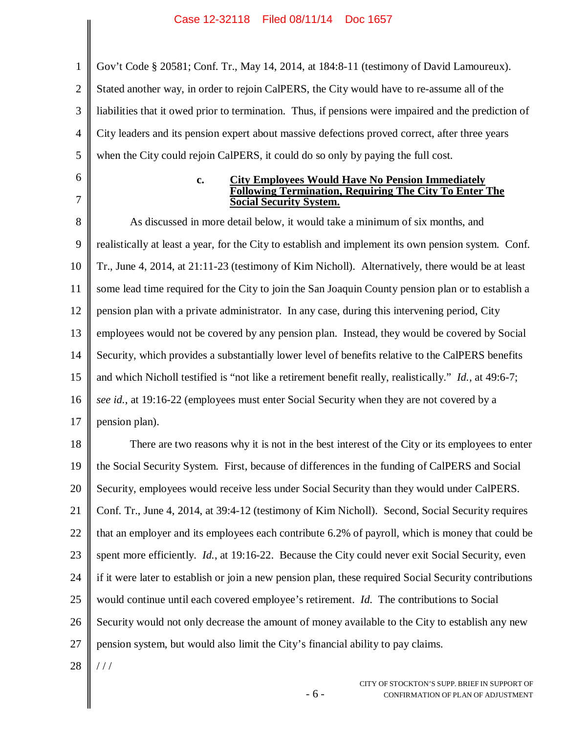1 2 3 4 5 Gov't Code § 20581; Conf. Tr., May 14, 2014, at 184:8-11 (testimony of David Lamoureux). Stated another way, in order to rejoin CalPERS, the City would have to re-assume all of the liabilities that it owed prior to termination. Thus, if pensions were impaired and the prediction of City leaders and its pension expert about massive defections proved correct, after three years when the City could rejoin CalPERS, it could do so only by paying the full cost.

6 7

#### **c. City Employees Would Have No Pension Immediately Following Termination, Requiring The City To Enter The Social Security System.**

8 9 10 11 12 13 14 15 16 17 As discussed in more detail below, it would take a minimum of six months, and realistically at least a year, for the City to establish and implement its own pension system. Conf. Tr., June 4, 2014, at 21:11-23 (testimony of Kim Nicholl). Alternatively, there would be at least some lead time required for the City to join the San Joaquin County pension plan or to establish a pension plan with a private administrator. In any case, during this intervening period, City employees would not be covered by any pension plan. Instead, they would be covered by Social Security, which provides a substantially lower level of benefits relative to the CalPERS benefits and which Nicholl testified is "not like a retirement benefit really, realistically." *Id.*, at 49:6-7; *see id.*, at 19:16-22 (employees must enter Social Security when they are not covered by a pension plan).

18 19 20 21 22 23 24 25 26 27 There are two reasons why it is not in the best interest of the City or its employees to enter the Social Security System. First, because of differences in the funding of CalPERS and Social Security, employees would receive less under Social Security than they would under CalPERS. Conf. Tr., June 4, 2014, at 39:4-12 (testimony of Kim Nicholl). Second, Social Security requires that an employer and its employees each contribute 6.2% of payroll, which is money that could be spent more efficiently. *Id.*, at 19:16-22. Because the City could never exit Social Security, even if it were later to establish or join a new pension plan, these required Social Security contributions would continue until each covered employee's retirement. *Id*. The contributions to Social Security would not only decrease the amount of money available to the City to establish any new pension system, but would also limit the City's financial ability to pay claims.

28  $/ /$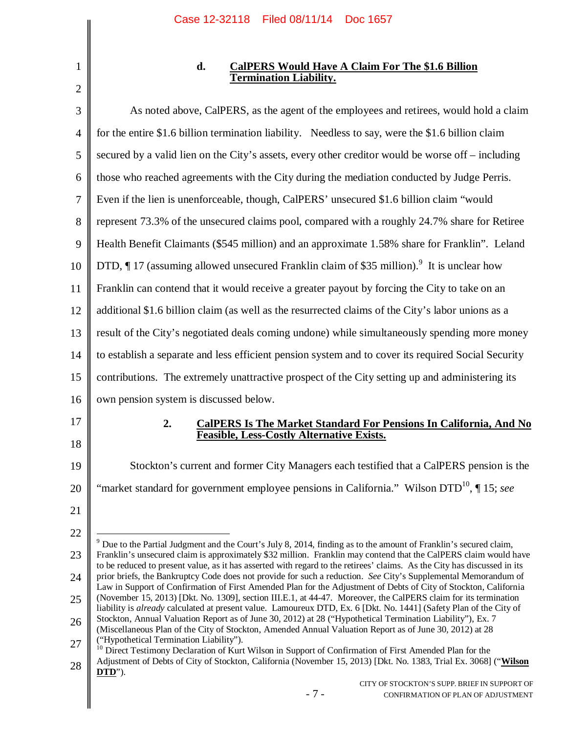| ŕ |  |
|---|--|

## **d. CalPERS Would Have A Claim For The \$1.6 Billion Termination Liability.**

| 3              | As noted above, CalPERS, as the agent of the employees and retirees, would hold a claim                                                                                                                                                      |
|----------------|----------------------------------------------------------------------------------------------------------------------------------------------------------------------------------------------------------------------------------------------|
| $\overline{4}$ | for the entire \$1.6 billion termination liability. Needless to say, were the \$1.6 billion claim                                                                                                                                            |
| 5              | secured by a valid lien on the City's assets, every other creditor would be worse off – including                                                                                                                                            |
| 6              | those who reached agreements with the City during the mediation conducted by Judge Perris.                                                                                                                                                   |
| 7              | Even if the lien is unenforceable, though, CalPERS' unsecured \$1.6 billion claim "would"                                                                                                                                                    |
| 8              | represent 73.3% of the unsecured claims pool, compared with a roughly 24.7% share for Retiree                                                                                                                                                |
| 9              | Health Benefit Claimants (\$545 million) and an approximate 1.58% share for Franklin". Leland                                                                                                                                                |
| 10             | DTD, ¶ 17 (assuming allowed unsecured Franklin claim of \$35 million). <sup>9</sup> It is unclear how                                                                                                                                        |
| 11             | Franklin can contend that it would receive a greater payout by forcing the City to take on an                                                                                                                                                |
| 12             | additional \$1.6 billion claim (as well as the resurrected claims of the City's labor unions as a                                                                                                                                            |
| 13             | result of the City's negotiated deals coming undone) while simultaneously spending more money                                                                                                                                                |
| 14             | to establish a separate and less efficient pension system and to cover its required Social Security                                                                                                                                          |
| 15             | contributions. The extremely unattractive prospect of the City setting up and administering its                                                                                                                                              |
| 16             | own pension system is discussed below.                                                                                                                                                                                                       |
| 17             | <b>CalPERS Is The Market Standard For Pensions In California, And No</b><br>2.                                                                                                                                                               |
| 18             | Feasible, Less-Costly Alternative Exists.                                                                                                                                                                                                    |
| 19             | Stockton's current and former City Managers each testified that a CalPERS pension is the                                                                                                                                                     |
| 20             | "market standard for government employee pensions in California." Wilson DTD <sup>10</sup> , ¶ 15; see                                                                                                                                       |
| 21             |                                                                                                                                                                                                                                              |
| 22             | $9$ Due to the Partial Judgment and the Court's July 8, 2014, finding as to the amount of Franklin's secured claim,                                                                                                                          |
| 23             | Franklin's unsecured claim is approximately \$32 million. Franklin may contend that the CalPERS claim would have<br>to be reduced to present value, as it has asserted with regard to the retirees' claims. As the City has discussed in its |
| 24             | prior briefs, the Bankruptcy Code does not provide for such a reduction. See City's Supplemental Memorandum of<br>Law in Support of Confirmation of First Amended Plan for the Adjustment of Debts of City of Stockton, California           |
| 25             | (November 15, 2013) [Dkt. No. 1309], section III.E.1, at 44-47. Moreover, the CalPERS claim for its termination<br>liability is already calculated at present value. Lamoureux DTD, Ex. 6 [Dkt. No. 1441] (Safety Plan of the City of        |
| 26             | Stockton, Annual Valuation Report as of June 30, 2012) at 28 ("Hypothetical Termination Liability"), Ex. 7<br>(Miscellaneous Plan of the City of Stockton, Amended Annual Valuation Report as of June 30, 2012) at 28                        |
| 27             | ("Hypothetical Termination Liability").<br><sup>10</sup> Direct Testimony Declaration of Kurt Wilson in Support of Confirmation of First Amended Plan for the                                                                                |
| 28             | Adjustment of Debts of City of Stockton, California (November 15, 2013) [Dkt. No. 1383, Trial Ex. 3068] ("Wilson                                                                                                                             |
|                | DTD").                                                                                                                                                                                                                                       |
|                | CITY OF STOCKTON'S SUPP. BRIEF IN SUPPORT OF<br>$-7-$<br>CONFIRMATION OF PLAN OF ADJUSTMENT                                                                                                                                                  |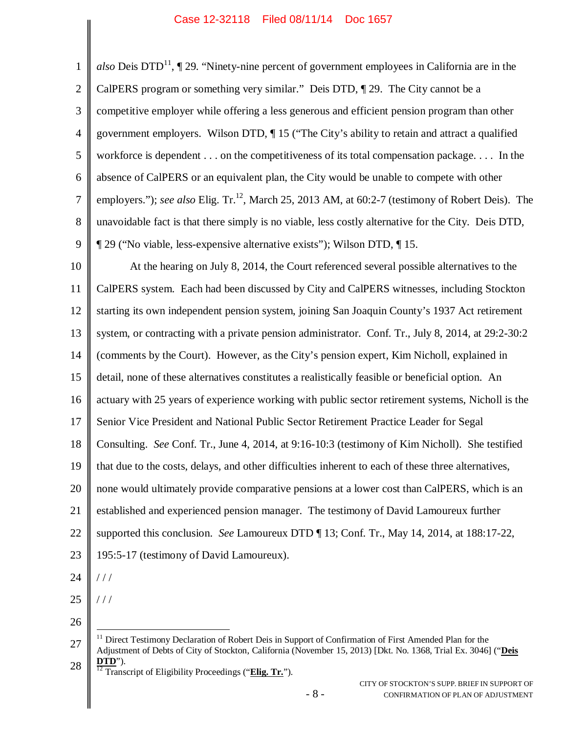| $\mathbf{1}$   | also Deis DTD <sup>11</sup> , $\P$ 29. "Ninety-nine percent of government employees in California are in the                                                                                                                         |
|----------------|--------------------------------------------------------------------------------------------------------------------------------------------------------------------------------------------------------------------------------------|
| $\mathbf{2}$   | CalPERS program or something very similar." Deis DTD, 129. The City cannot be a                                                                                                                                                      |
| $\mathfrak{Z}$ | competitive employer while offering a less generous and efficient pension program than other                                                                                                                                         |
| $\overline{4}$ | government employers. Wilson DTD, ¶15 ("The City's ability to retain and attract a qualified                                                                                                                                         |
| $\mathfrak{S}$ | workforce is dependent on the competitiveness of its total compensation package. In the                                                                                                                                              |
| 6              | absence of CalPERS or an equivalent plan, the City would be unable to compete with other                                                                                                                                             |
| $\tau$         | employers."); see also Elig. Tr. <sup>12</sup> , March 25, 2013 AM, at 60:2-7 (testimony of Robert Deis). The                                                                                                                        |
| 8              | unavoidable fact is that there simply is no viable, less costly alternative for the City. Deis DTD,                                                                                                                                  |
| 9              | ¶ 29 ("No viable, less-expensive alternative exists"); Wilson DTD, ¶ 15.                                                                                                                                                             |
| 10             | At the hearing on July 8, 2014, the Court referenced several possible alternatives to the                                                                                                                                            |
| 11             | CalPERS system. Each had been discussed by City and CalPERS witnesses, including Stockton                                                                                                                                            |
| 12             | starting its own independent pension system, joining San Joaquin County's 1937 Act retirement                                                                                                                                        |
| 13             | system, or contracting with a private pension administrator. Conf. Tr., July 8, 2014, at 29:2-30:2                                                                                                                                   |
| 14             | (comments by the Court). However, as the City's pension expert, Kim Nicholl, explained in                                                                                                                                            |
| 15             | detail, none of these alternatives constitutes a realistically feasible or beneficial option. An                                                                                                                                     |
| 16             | actuary with 25 years of experience working with public sector retirement systems, Nicholl is the                                                                                                                                    |
| 17             | Senior Vice President and National Public Sector Retirement Practice Leader for Segal                                                                                                                                                |
| 18             | Consulting. See Conf. Tr., June 4, 2014, at 9:16-10:3 (testimony of Kim Nicholl). She testified                                                                                                                                      |
| 19             | that due to the costs, delays, and other difficulties inherent to each of these three alternatives,                                                                                                                                  |
| 20             | none would ultimately provide comparative pensions at a lower cost than CalPERS, which is an                                                                                                                                         |
| 21             | established and experienced pension manager. The testimony of David Lamoureux further                                                                                                                                                |
| 22             | supported this conclusion. See Lamoureux DTD ¶ 13; Conf. Tr., May 14, 2014, at 188:17-22,                                                                                                                                            |
| 23             | 195:5-17 (testimony of David Lamoureux).                                                                                                                                                                                             |
| 24             | //                                                                                                                                                                                                                                   |
| 25             | //                                                                                                                                                                                                                                   |
| 26             |                                                                                                                                                                                                                                      |
| 27             | <sup>11</sup> Direct Testimony Declaration of Robert Deis in Support of Confirmation of First Amended Plan for the<br>Adjustment of Debts of City of Stockton, California (November 15, 2013) [Dkt. No. 1368, Trial Ex. 3046] ("Deis |
| 28             | DTD").<br>$\frac{12}{12}$ Transcript of Eligibility Proceedings ("Elig. Tr.").                                                                                                                                                       |
|                | CITY OF STOCKTON'S SUPP. BRIEF IN SUPPORT OF<br>$-8-$<br>CONFIRMATION OF PLAN OF ADJUSTMENT                                                                                                                                          |
|                |                                                                                                                                                                                                                                      |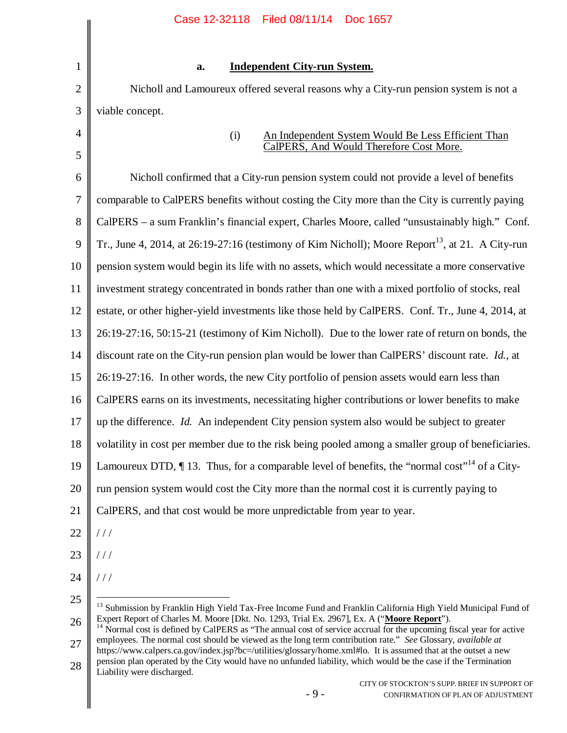|                | Case 12-32118 Filed 08/11/14 Doc 1657                                                                                     |
|----------------|---------------------------------------------------------------------------------------------------------------------------|
|                |                                                                                                                           |
| $\mathbf{1}$   | <b>Independent City-run System.</b><br>a.                                                                                 |
| $\overline{2}$ | Nicholl and Lamoureux offered several reasons why a City-run pension system is not a                                      |
| 3              | viable concept.                                                                                                           |
| $\overline{4}$ | An Independent System Would Be Less Efficient Than<br>(i)                                                                 |
| 5              | CalPERS, And Would Therefore Cost More.                                                                                   |
| 6              | Nicholl confirmed that a City-run pension system could not provide a level of benefits                                    |
| $\overline{7}$ | comparable to CalPERS benefits without costing the City more than the City is currently paying                            |
| 8              | CalPERS – a sum Franklin's financial expert, Charles Moore, called "unsustainably high." Conf.                            |
| 9              | Tr., June 4, 2014, at 26:19-27:16 (testimony of Kim Nicholl); Moore Report <sup>13</sup> , at 21. A City-run              |
| 10             | pension system would begin its life with no assets, which would necessitate a more conservative                           |
| 11             | investment strategy concentrated in bonds rather than one with a mixed portfolio of stocks, real                          |
| 12             | estate, or other higher-yield investments like those held by CalPERS. Conf. Tr., June 4, 2014, at                         |
| 13             | 26:19-27:16, 50:15-21 (testimony of Kim Nicholl). Due to the lower rate of return on bonds, the                           |
| 14             | discount rate on the City-run pension plan would be lower than CalPERS' discount rate. Id., at                            |
| 15             | 26:19-27:16. In other words, the new City portfolio of pension assets would earn less than                                |
| 16             | CalPERS earns on its investments, necessitating higher contributions or lower benefits to make                            |
| 17             | up the difference. Id. An independent City pension system also would be subject to greater                                |
| 18             | volatility in cost per member due to the risk being pooled among a smaller group of beneficiaries.                        |
| 19             | Lamoureux DTD, $\P$ 13. Thus, for a comparable level of benefits, the "normal cost" <sup>14</sup> of a City-              |
| 20             | run pension system would cost the City more than the normal cost it is currently paying to                                |
| 21             | CalPERS, and that cost would be more unpredictable from year to year.                                                     |
| 22             | //                                                                                                                        |
| 23             | //                                                                                                                        |
| 24             | //                                                                                                                        |
| 25             | <sup>13</sup> Submission by Franklin High Yield Tax-Free Income Fund and Franklin California High Yield Municipal Fund of |

26 27 Expert Report of Charles M. Moore [Dkt. No. 1293, Trial Ex. 2967], Ex. A ("**Moore Report**"). <sup>14</sup> Normal cost is defined by CalPERS as "The annual cost of service accrual for the upcoming fiscal year for active employees. The normal cost should be viewed as the long term contribution rate." *See* Glossary, *available at* https://www.calpers.ca.gov/index.jsp?bc=/utilities/glossary/home.xml#lo. It is assumed that at the outset a new

28 pension plan operated by the City would have no unfunded liability, which would be the case if the Termination Liability were discharged.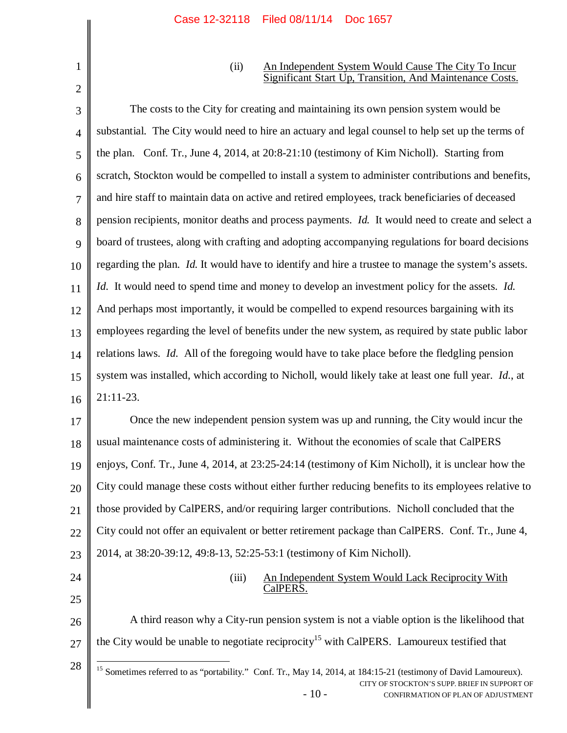(ii) An Independent System Would Cause The City To Incur Significant Start Up, Transition, And Maintenance Costs.

3 4 5 6 7 8 9 10 11 12 13 14 15 16 17 18 The costs to the City for creating and maintaining its own pension system would be substantial. The City would need to hire an actuary and legal counsel to help set up the terms of the plan. Conf. Tr., June 4, 2014, at 20:8-21:10 (testimony of Kim Nicholl). Starting from scratch, Stockton would be compelled to install a system to administer contributions and benefits, and hire staff to maintain data on active and retired employees, track beneficiaries of deceased pension recipients, monitor deaths and process payments. *Id.* It would need to create and select a board of trustees, along with crafting and adopting accompanying regulations for board decisions regarding the plan. *Id.* It would have to identify and hire a trustee to manage the system's assets. *Id.* It would need to spend time and money to develop an investment policy for the assets. *Id.* And perhaps most importantly, it would be compelled to expend resources bargaining with its employees regarding the level of benefits under the new system, as required by state public labor relations laws. *Id.* All of the foregoing would have to take place before the fledgling pension system was installed, which according to Nicholl, would likely take at least one full year. *Id.*, at 21:11-23. Once the new independent pension system was up and running, the City would incur the usual maintenance costs of administering it. Without the economies of scale that CalPERS

19 20 21 22 23 enjoys, Conf. Tr., June 4, 2014, at 23:25-24:14 (testimony of Kim Nicholl), it is unclear how the City could manage these costs without either further reducing benefits to its employees relative to those provided by CalPERS, and/or requiring larger contributions. Nicholl concluded that the City could not offer an equivalent or better retirement package than CalPERS. Conf. Tr., June 4, 2014, at 38:20-39:12, 49:8-13, 52:25-53:1 (testimony of Kim Nicholl).

24

25

1

2

## (iii) An Independent System Would Lack Reciprocity With CalPERS.

26 27 A third reason why a City-run pension system is not a viable option is the likelihood that the City would be unable to negotiate reciprocity<sup>15</sup> with CalPERS. Lamoureux testified that

 $-10-$ CITY OF STOCKTON'S SUPP. BRIEF IN SUPPORT OF CONFIRMATION OF PLAN OF ADJUSTMENT 28 <sup>15</sup> Sometimes referred to as "portability." Conf. Tr., May 14, 2014, at 184:15-21 (testimony of David Lamoureux).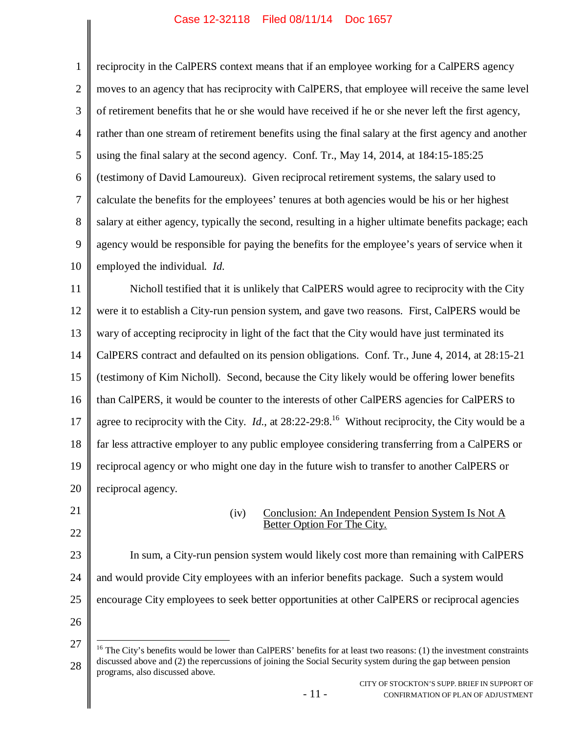| $\mathbf{1}$   | reciprocity in the CalPERS context means that if an employee working for a CalPERS agency                                                         |
|----------------|---------------------------------------------------------------------------------------------------------------------------------------------------|
| $\overline{2}$ | moves to an agency that has reciprocity with CalPERS, that employee will receive the same level                                                   |
| 3              | of retirement benefits that he or she would have received if he or she never left the first agency,                                               |
| $\overline{4}$ | rather than one stream of retirement benefits using the final salary at the first agency and another                                              |
| 5              | using the final salary at the second agency. Conf. Tr., May 14, 2014, at 184:15-185:25                                                            |
| 6              | (testimony of David Lamoureux). Given reciprocal retirement systems, the salary used to                                                           |
| 7              | calculate the benefits for the employees' tenures at both agencies would be his or her highest                                                    |
| 8              | salary at either agency, typically the second, resulting in a higher ultimate benefits package; each                                              |
| 9              | agency would be responsible for paying the benefits for the employee's years of service when it                                                   |
| 10             | employed the individual. Id.                                                                                                                      |
| 11             | Nicholl testified that it is unlikely that CalPERS would agree to reciprocity with the City                                                       |
| 12             | were it to establish a City-run pension system, and gave two reasons. First, CalPERS would be                                                     |
| 13             | wary of accepting reciprocity in light of the fact that the City would have just terminated its                                                   |
| 14             | CalPERS contract and defaulted on its pension obligations. Conf. Tr., June 4, 2014, at 28:15-21                                                   |
| 15             | (testimony of Kim Nicholl). Second, because the City likely would be offering lower benefits                                                      |
| 16             | than CalPERS, it would be counter to the interests of other CalPERS agencies for CalPERS to                                                       |
| 17             | agree to reciprocity with the City. <i>Id.</i> , at $28:22-29:8$ . <sup>16</sup> Without reciprocity, the City would be a                         |
| 18             | far less attractive employer to any public employee considering transferring from a CalPERS or                                                    |
| 19             | reciprocal agency or who might one day in the future wish to transfer to another CalPERS or                                                       |
| 20             | reciprocal agency.                                                                                                                                |
| 21             | Conclusion: An Independent Pension System Is Not A<br>(iv)                                                                                        |
| 22             | Better Option For The City.                                                                                                                       |
| 23             | In sum, a City-run pension system would likely cost more than remaining with CalPERS                                                              |
| 24             | and would provide City employees with an inferior benefits package. Such a system would                                                           |
| 25             | encourage City employees to seek better opportunities at other CalPERS or reciprocal agencies                                                     |
| 26             |                                                                                                                                                   |
| 27             | $16$ The City's benefits would be lower than CalPERS' benefits for at least two reasons: (1) the investment constraints                           |
| 28             | discussed above and (2) the repercussions of joining the Social Security system during the gap between pension<br>programs, also discussed above. |
|                | CITY OF STOCKTON'S SUPP. BRIEF IN SUPPORT OF<br>$-11-$<br>CONFIRMATION OF PLAN OF ADJUSTMENT                                                      |
|                |                                                                                                                                                   |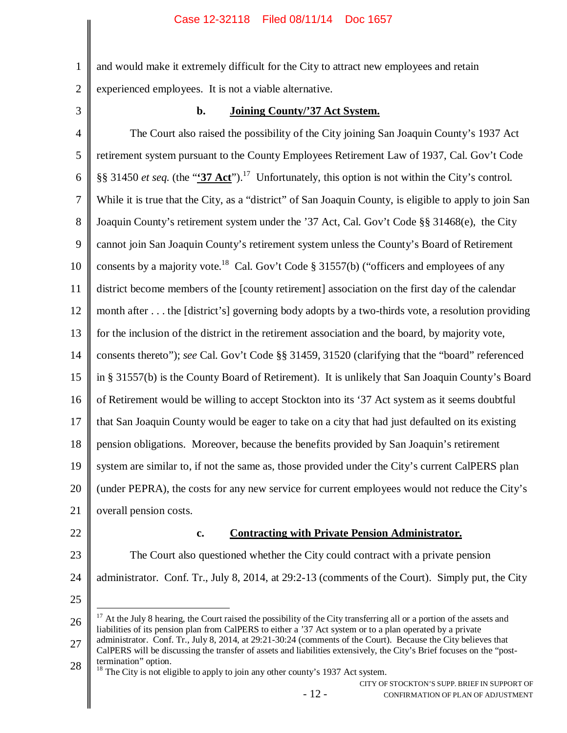2 and would make it extremely difficult for the City to attract new employees and retain experienced employees. It is not a viable alternative.

3

1

## **b. Joining County/'37 Act System.**

4 5 6 7 8 9 10 11 12 13 14 15 16 17 18 19 20 21 The Court also raised the possibility of the City joining San Joaquin County's 1937 Act retirement system pursuant to the County Employees Retirement Law of 1937, Cal. Gov't Code §§ 31450 *et seq.* (the "**'37 Act**").<sup>17</sup> Unfortunately, this option is not within the City's control. While it is true that the City, as a "district" of San Joaquin County, is eligible to apply to join San Joaquin County's retirement system under the '37 Act, Cal. Gov't Code §§ 31468(e), the City cannot join San Joaquin County's retirement system unless the County's Board of Retirement consents by a majority vote.<sup>18</sup> Cal. Gov't Code § 31557(b) ("officers and employees of any district become members of the [county retirement] association on the first day of the calendar month after . . . the [district's] governing body adopts by a two-thirds vote, a resolution providing for the inclusion of the district in the retirement association and the board, by majority vote, consents thereto"); *see* Cal. Gov't Code §§ 31459, 31520 (clarifying that the "board" referenced in § 31557(b) is the County Board of Retirement). It is unlikely that San Joaquin County's Board of Retirement would be willing to accept Stockton into its '37 Act system as it seems doubtful that San Joaquin County would be eager to take on a city that had just defaulted on its existing pension obligations. Moreover, because the benefits provided by San Joaquin's retirement system are similar to, if not the same as, those provided under the City's current CalPERS plan (under PEPRA), the costs for any new service for current employees would not reduce the City's overall pension costs.

22

### **c. Contracting with Private Pension Administrator.**

23 24 The Court also questioned whether the City could contract with a private pension administrator. Conf. Tr., July 8, 2014, at 29:2-13 (comments of the Court). Simply put, the City

25

26 27 <sup>17</sup> At the July 8 hearing, the Court raised the possibility of the City transferring all or a portion of the assets and liabilities of its pension plan from CalPERS to either a '37 Act system or to a plan operated by a private administrator. Conf. Tr., July 8, 2014, at 29:21-30:24 (comments of the Court). Because the City believes that

<sup>18</sup> The City is not eligible to apply to join any other county's 1937 Act system.

<sup>28</sup> CalPERS will be discussing the transfer of assets and liabilities extensively, the City's Brief focuses on the "posttermination" option.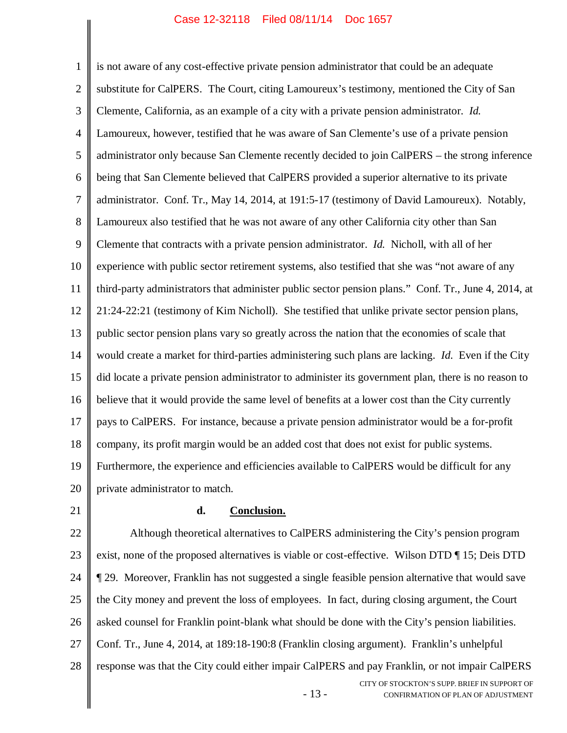1 2 3 4 5 6 7 8 9 10 11 12 13 14 15 16 17 18 19 20 is not aware of any cost-effective private pension administrator that could be an adequate substitute for CalPERS. The Court, citing Lamoureux's testimony, mentioned the City of San Clemente, California, as an example of a city with a private pension administrator. *Id.* Lamoureux, however, testified that he was aware of San Clemente's use of a private pension administrator only because San Clemente recently decided to join CalPERS – the strong inference being that San Clemente believed that CalPERS provided a superior alternative to its private administrator. Conf. Tr., May 14, 2014, at 191:5-17 (testimony of David Lamoureux). Notably, Lamoureux also testified that he was not aware of any other California city other than San Clemente that contracts with a private pension administrator. *Id.* Nicholl, with all of her experience with public sector retirement systems, also testified that she was "not aware of any third-party administrators that administer public sector pension plans." Conf. Tr., June 4, 2014, at 21:24-22:21 (testimony of Kim Nicholl). She testified that unlike private sector pension plans, public sector pension plans vary so greatly across the nation that the economies of scale that would create a market for third-parties administering such plans are lacking. *Id.* Even if the City did locate a private pension administrator to administer its government plan, there is no reason to believe that it would provide the same level of benefits at a lower cost than the City currently pays to CalPERS. For instance, because a private pension administrator would be a for-profit company, its profit margin would be an added cost that does not exist for public systems. Furthermore, the experience and efficiencies available to CalPERS would be difficult for any private administrator to match.

21

#### **d. Conclusion.**

- 13 - CITY OF STOCKTON'S SUPP. BRIEF IN SUPPORT OF CONFIRMATION OF PLAN OF ADJUSTMENT 22 23 24 25 26 27 28 Although theoretical alternatives to CalPERS administering the City's pension program exist, none of the proposed alternatives is viable or cost-effective. Wilson DTD ¶ 15; Deis DTD ¶ 29. Moreover, Franklin has not suggested a single feasible pension alternative that would save the City money and prevent the loss of employees. In fact, during closing argument, the Court asked counsel for Franklin point-blank what should be done with the City's pension liabilities. Conf. Tr., June 4, 2014, at 189:18-190:8 (Franklin closing argument). Franklin's unhelpful response was that the City could either impair CalPERS and pay Franklin, or not impair CalPERS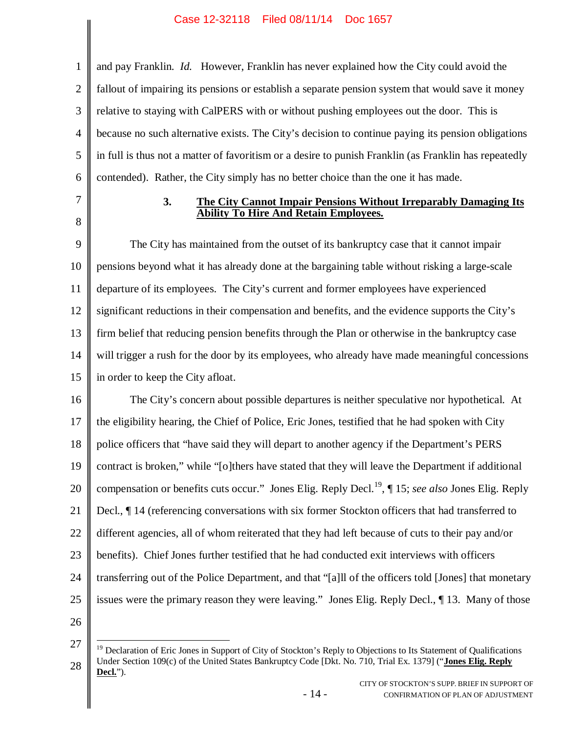1 2 3 4 5 6 and pay Franklin. *Id.* However, Franklin has never explained how the City could avoid the fallout of impairing its pensions or establish a separate pension system that would save it money relative to staying with CalPERS with or without pushing employees out the door. This is because no such alternative exists. The City's decision to continue paying its pension obligations in full is thus not a matter of favoritism or a desire to punish Franklin (as Franklin has repeatedly contended). Rather, the City simply has no better choice than the one it has made.

7

8

**3. The City Cannot Impair Pensions Without Irreparably Damaging Its Ability To Hire And Retain Employees.**

9 10 11 12 13 14 15 The City has maintained from the outset of its bankruptcy case that it cannot impair pensions beyond what it has already done at the bargaining table without risking a large-scale departure of its employees. The City's current and former employees have experienced significant reductions in their compensation and benefits, and the evidence supports the City's firm belief that reducing pension benefits through the Plan or otherwise in the bankruptcy case will trigger a rush for the door by its employees, who already have made meaningful concessions in order to keep the City afloat.

16 17 18 19 20 21 22 23 24 25 The City's concern about possible departures is neither speculative nor hypothetical. At the eligibility hearing, the Chief of Police, Eric Jones, testified that he had spoken with City police officers that "have said they will depart to another agency if the Department's PERS contract is broken," while "[o]thers have stated that they will leave the Department if additional compensation or benefits cuts occur." Jones Elig. Reply Decl.<sup>19</sup>, ¶ 15; *see also* Jones Elig. Reply Decl., ¶ 14 (referencing conversations with six former Stockton officers that had transferred to different agencies, all of whom reiterated that they had left because of cuts to their pay and/or benefits). Chief Jones further testified that he had conducted exit interviews with officers transferring out of the Police Department, and that "[a]ll of the officers told [Jones] that monetary issues were the primary reason they were leaving." Jones Elig. Reply Decl., ¶ 13. Many of those

26

- 14 -

<sup>27</sup> 28  $19$  Declaration of Eric Jones in Support of City of Stockton's Reply to Objections to Its Statement of Qualifications Under Section 109(c) of the United States Bankruptcy Code [Dkt. No. 710, Trial Ex. 1379] ("**Jones Elig. Reply Decl.**").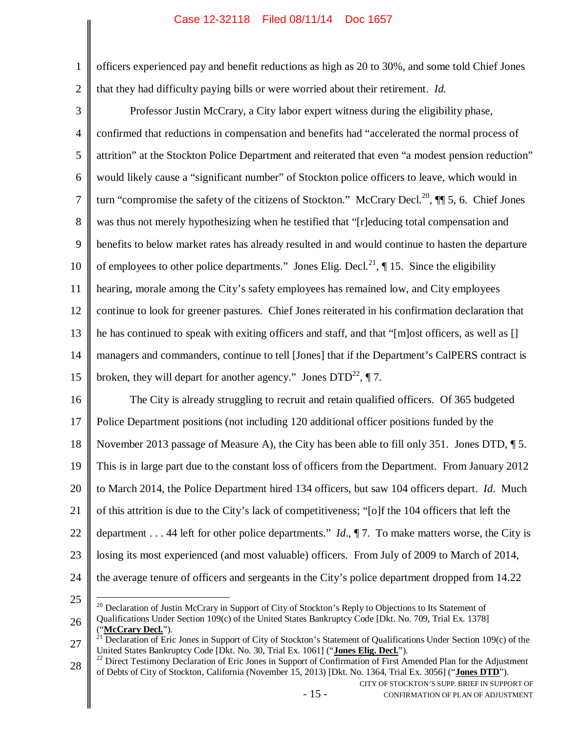1 2 officers experienced pay and benefit reductions as high as 20 to 30%, and some told Chief Jones that they had difficulty paying bills or were worried about their retirement. *Id.*

3 4 5 6 7 8 9 10 11 12 13 14 15 Professor Justin McCrary, a City labor expert witness during the eligibility phase, confirmed that reductions in compensation and benefits had "accelerated the normal process of attrition" at the Stockton Police Department and reiterated that even "a modest pension reduction" would likely cause a "significant number" of Stockton police officers to leave, which would in turn "compromise the safety of the citizens of Stockton." McCrary Decl.<sup>20</sup>,  $\P$  5, 6. Chief Jones was thus not merely hypothesizing when he testified that "[r]educing total compensation and benefits to below market rates has already resulted in and would continue to hasten the departure of employees to other police departments." Jones Elig. Decl.<sup>21</sup>,  $\P$  15. Since the eligibility hearing, morale among the City's safety employees has remained low, and City employees continue to look for greener pastures. Chief Jones reiterated in his confirmation declaration that he has continued to speak with exiting officers and staff, and that "[m]ost officers, as well as [] managers and commanders, continue to tell [Jones] that if the Department's CalPERS contract is broken, they will depart for another agency." Jones  $DTD^{22}$ ,  $\P 7$ .

16 17 18 19 20 21 22 23 24 The City is already struggling to recruit and retain qualified officers. Of 365 budgeted Police Department positions (not including 120 additional officer positions funded by the November 2013 passage of Measure A), the City has been able to fill only 351. Jones DTD, ¶ 5. This is in large part due to the constant loss of officers from the Department. From January 2012 to March 2014, the Police Department hired 134 officers, but saw 104 officers depart. *Id*. Much of this attrition is due to the City's lack of competitiveness; "[o]f the 104 officers that left the department . . . 44 left for other police departments." *Id*., ¶ 7. To make matters worse, the City is losing its most experienced (and most valuable) officers. From July of 2009 to March of 2014, the average tenure of officers and sergeants in the City's police department dropped from 14.22

25

26 ("**McCrary Decl.**").

 $20$  Declaration of Justin McCrary in Support of City of Stockton's Reply to Objections to Its Statement of Qualifications Under Section 109(c) of the United States Bankruptcy Code [Dkt. No. 709, Trial Ex. 1378]

<sup>27</sup>  $^{21}$  Declaration of Eric Jones in Support of City of Stockton's Statement of Qualifications Under Section 109 $(c)$  of the United States Bankruptcy Code [Dkt. No. 30, Trial Ex. 1061] ("**Jones Elig. Decl.**").

<sup>28</sup> <sup>22</sup> Direct Testimony Declaration of Eric Jones in Support of Confirmation of First Amended Plan for the Adjustment of Debts of City of Stockton, California (November 15, 2013) [Dkt. No. 1364, Trial Ex. 3056] ("**Jones DTD**").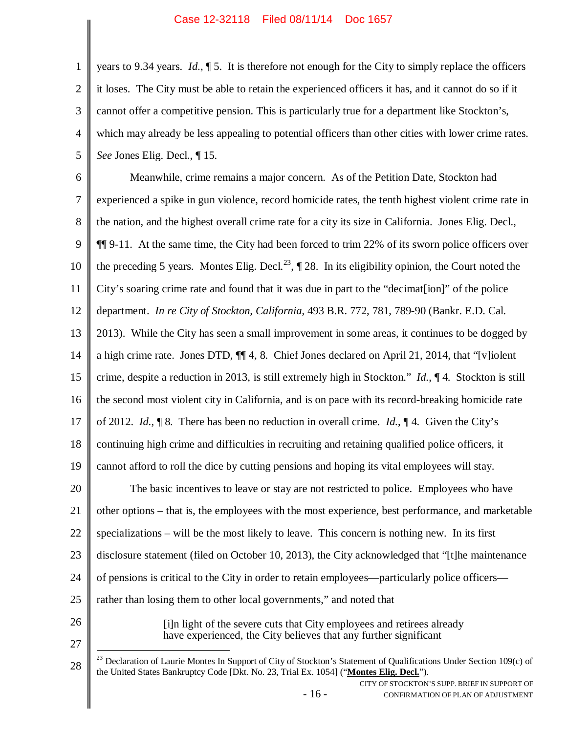2 3 4 5 years to 9.34 years. *Id*., ¶ 5. It is therefore not enough for the City to simply replace the officers it loses. The City must be able to retain the experienced officers it has, and it cannot do so if it cannot offer a competitive pension. This is particularly true for a department like Stockton's, which may already be less appealing to potential officers than other cities with lower crime rates. *See* Jones Elig. Decl., ¶ 15*.*

6 7 8 9 10 11 12 13 14 15 16 17 18 19 20 21 22 23 24 25 Meanwhile, crime remains a major concern. As of the Petition Date, Stockton had experienced a spike in gun violence, record homicide rates, the tenth highest violent crime rate in the nation, and the highest overall crime rate for a city its size in California. Jones Elig. Decl., ¶¶ 9-11. At the same time, the City had been forced to trim 22% of its sworn police officers over the preceding 5 years. Montes Elig. Decl.<sup>23</sup>,  $\P$  28. In its eligibility opinion, the Court noted the City's soaring crime rate and found that it was due in part to the "decimat[ion]" of the police department. *In re City of Stockton, California*, 493 B.R. 772, 781, 789-90 (Bankr. E.D. Cal. 2013). While the City has seen a small improvement in some areas, it continues to be dogged by a high crime rate. Jones DTD, ¶¶ 4, 8. Chief Jones declared on April 21, 2014, that "[v]iolent crime, despite a reduction in 2013, is still extremely high in Stockton." *Id.*, ¶ 4. Stockton is still the second most violent city in California, and is on pace with its record-breaking homicide rate of 2012. *Id.*, ¶ 8. There has been no reduction in overall crime. *Id.*, ¶ 4. Given the City's continuing high crime and difficulties in recruiting and retaining qualified police officers, it cannot afford to roll the dice by cutting pensions and hoping its vital employees will stay. The basic incentives to leave or stay are not restricted to police. Employees who have other options – that is, the employees with the most experience, best performance, and marketable specializations – will be the most likely to leave. This concern is nothing new. In its first disclosure statement (filed on October 10, 2013), the City acknowledged that "[t]he maintenance of pensions is critical to the City in order to retain employees—particularly police officers rather than losing them to other local governments," and noted that

26 27

1

[i]n light of the severe cuts that City employees and retirees already have experienced, the City believes that any further significant

<sup>28</sup> <sup>23</sup> Declaration of Laurie Montes In Support of City of Stockton's Statement of Qualifications Under Section 109(c) of the United States Bankruptcy Code [Dkt. No. 23, Trial Ex. 1054] ("**Montes Elig. Decl.**").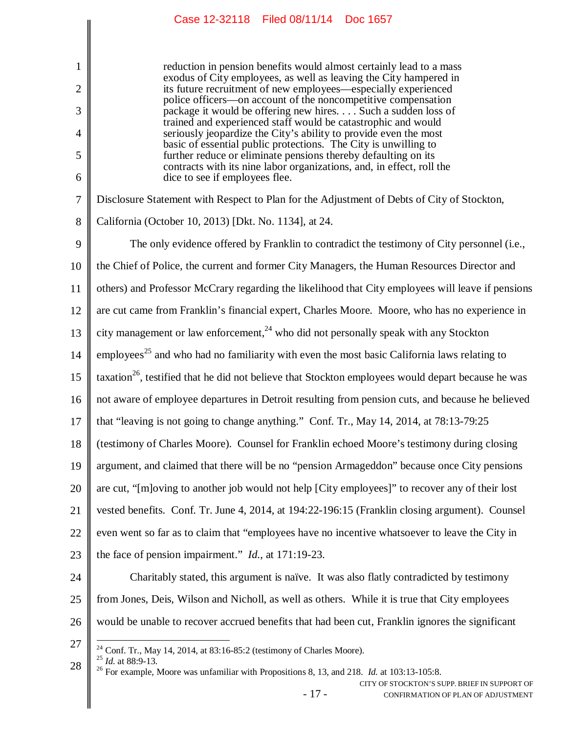reduction in pension benefits would almost certainly lead to a mass exodus of City employees, as well as leaving the City hampered in its future recruitment of new employees—especially experienced police officers—on account of the noncompetitive compensation package it would be offering new hires. . . . Such a sudden loss of trained and experienced staff would be catastrophic and would seriously jeopardize the City's ability to provide even the most basic of essential public protections. The City is unwilling to further reduce or eliminate pensions thereby defaulting on its contracts with its nine labor organizations, and, in effect, roll the dice to see if employees flee.

7 Disclosure Statement with Respect to Plan for the Adjustment of Debts of City of Stockton,

8 California (October 10, 2013) [Dkt. No. 1134], at 24.

The only evidence offered by Franklin to contradict the testimony of City personnel (i.e.,

10 the Chief of Police, the current and former City Managers, the Human Resources Director and

11 others) and Professor McCrary regarding the likelihood that City employees will leave if pensions

12 are cut came from Franklin's financial expert, Charles Moore. Moore, who has no experience in

13 city management or law enforcement.<sup>24</sup> who did not personally speak with any Stockton

14 employees<sup>25</sup> and who had no familiarity with even the most basic California laws relating to

15 taxation<sup>26</sup>, testified that he did not believe that Stockton employees would depart because he was

16 not aware of employee departures in Detroit resulting from pension cuts, and because he believed

17 that "leaving is not going to change anything." Conf. Tr., May 14, 2014, at 78:13-79:25

18 (testimony of Charles Moore). Counsel for Franklin echoed Moore's testimony during closing

19 argument, and claimed that there will be no "pension Armageddon" because once City pensions

20 are cut, "[m]oving to another job would not help [City employees]" to recover any of their lost

21 vested benefits. Conf. Tr. June 4, 2014, at 194:22-196:15 (Franklin closing argument). Counsel

22 even went so far as to claim that "employees have no incentive whatsoever to leave the City in

- 23 the face of pension impairment." *Id.*, at 171:19-23.
- 24 25 26 Charitably stated, this argument is naïve. It was also flatly contradicted by testimony from Jones, Deis, Wilson and Nicholl, as well as others. While it is true that City employees would be unable to recover accrued benefits that had been cut, Franklin ignores the significant
- 

1

2

3

4

5

6

9

27  $^{24}$  Conf. Tr., May 14, 2014, at 83:16-85:2 (testimony of Charles Moore).

28 <sup>25</sup> *Id.* at 88:9-13.

<sup>26</sup> For example, Moore was unfamiliar with Propositions 8, 13, and 218. *Id.* at 103:13-105:8.

CITY OF STOCKTON'S SUPP. BRIEF IN SUPPORT OF CONFIRMATION OF PLAN OF ADJUSTMENT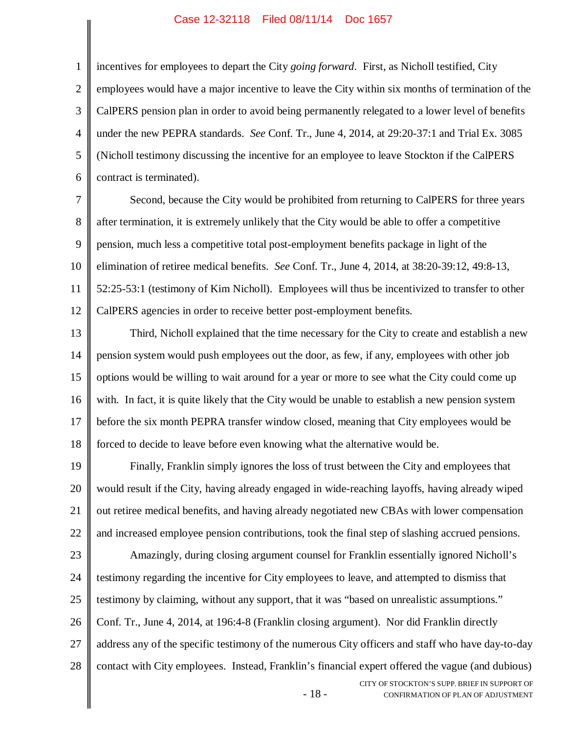1 2 3 4 5 6 incentives for employees to depart the City *going forward*. First, as Nicholl testified, City employees would have a major incentive to leave the City within six months of termination of the CalPERS pension plan in order to avoid being permanently relegated to a lower level of benefits under the new PEPRA standards. *See* Conf. Tr., June 4, 2014, at 29:20-37:1 and Trial Ex. 3085 (Nicholl testimony discussing the incentive for an employee to leave Stockton if the CalPERS contract is terminated).

7 8 9 10 11 12 Second, because the City would be prohibited from returning to CalPERS for three years after termination, it is extremely unlikely that the City would be able to offer a competitive pension, much less a competitive total post-employment benefits package in light of the elimination of retiree medical benefits. *See* Conf. Tr., June 4, 2014, at 38:20-39:12, 49:8-13, 52:25-53:1 (testimony of Kim Nicholl). Employees will thus be incentivized to transfer to other CalPERS agencies in order to receive better post-employment benefits.

13 14 15 16 17 18 Third, Nicholl explained that the time necessary for the City to create and establish a new pension system would push employees out the door, as few, if any, employees with other job options would be willing to wait around for a year or more to see what the City could come up with. In fact, it is quite likely that the City would be unable to establish a new pension system before the six month PEPRA transfer window closed, meaning that City employees would be forced to decide to leave before even knowing what the alternative would be.

19 20 21 22 Finally, Franklin simply ignores the loss of trust between the City and employees that would result if the City, having already engaged in wide-reaching layoffs, having already wiped out retiree medical benefits, and having already negotiated new CBAs with lower compensation and increased employee pension contributions, took the final step of slashing accrued pensions.

CITY OF STOCKTON'S SUPP. BRIEF IN SUPPORT OF 23 24 25 26 27 28 Amazingly, during closing argument counsel for Franklin essentially ignored Nicholl's testimony regarding the incentive for City employees to leave, and attempted to dismiss that testimony by claiming, without any support, that it was "based on unrealistic assumptions." Conf. Tr., June 4, 2014, at 196:4-8 (Franklin closing argument). Nor did Franklin directly address any of the specific testimony of the numerous City officers and staff who have day-to-day contact with City employees. Instead, Franklin's financial expert offered the vague (and dubious)

- 18 -

CONFIRMATION OF PLAN OF ADJUSTMENT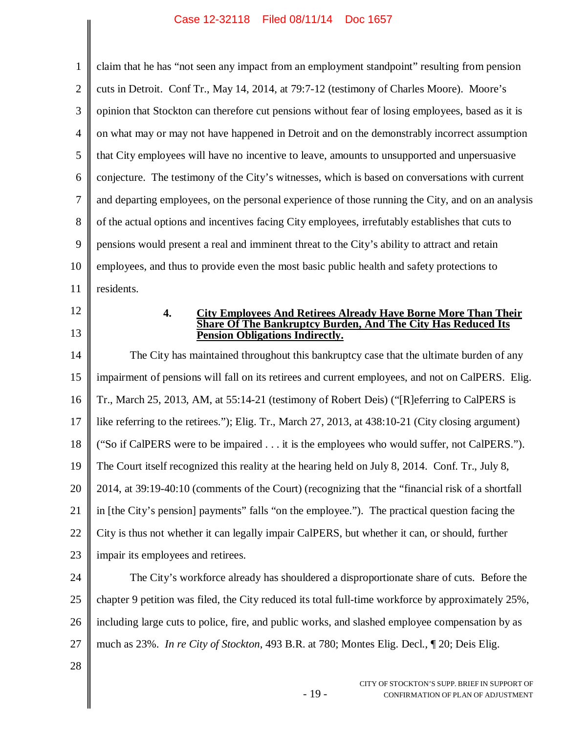1 2 3 4 5 6 7 8 9 10 11 12 13 14 15 16 17 18 19 20 21 22 23 24 25 26 27 28 claim that he has "not seen any impact from an employment standpoint" resulting from pension cuts in Detroit. Conf Tr., May 14, 2014, at 79:7-12 (testimony of Charles Moore). Moore's opinion that Stockton can therefore cut pensions without fear of losing employees, based as it is on what may or may not have happened in Detroit and on the demonstrably incorrect assumption that City employees will have no incentive to leave, amounts to unsupported and unpersuasive conjecture. The testimony of the City's witnesses, which is based on conversations with current and departing employees, on the personal experience of those running the City, and on an analysis of the actual options and incentives facing City employees, irrefutably establishes that cuts to pensions would present a real and imminent threat to the City's ability to attract and retain employees, and thus to provide even the most basic public health and safety protections to residents. **4. City Employees And Retirees Already Have Borne More Than Their Share Of The Bankruptcy Burden, And The City Has Reduced Its Pension Obligations Indirectly.** The City has maintained throughout this bankruptcy case that the ultimate burden of any impairment of pensions will fall on its retirees and current employees, and not on CalPERS. Elig. Tr., March 25, 2013, AM, at 55:14-21 (testimony of Robert Deis) ("[R]eferring to CalPERS is like referring to the retirees."); Elig. Tr., March 27, 2013, at 438:10-21 (City closing argument) ("So if CalPERS were to be impaired . . . it is the employees who would suffer, not CalPERS."). The Court itself recognized this reality at the hearing held on July 8, 2014. Conf. Tr., July 8, 2014, at 39:19-40:10 (comments of the Court) (recognizing that the "financial risk of a shortfall in [the City's pension] payments" falls "on the employee."). The practical question facing the City is thus not whether it can legally impair CalPERS, but whether it can, or should, further impair its employees and retirees. The City's workforce already has shouldered a disproportionate share of cuts. Before the chapter 9 petition was filed, the City reduced its total full-time workforce by approximately 25%, including large cuts to police, fire, and public works, and slashed employee compensation by as much as 23%. *In re City of Stockton*, 493 B.R. at 780; Montes Elig. Decl., ¶ 20; Deis Elig.

- 19 -

CITY OF STOCKTON'S SUPP. BRIEF IN SUPPORT OF CONFIRMATION OF PLAN OF ADJUSTMENT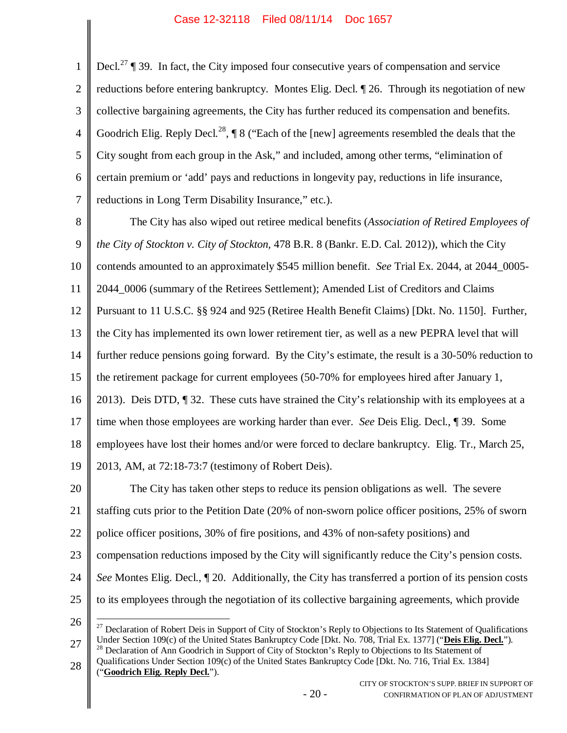1 2 3 4 5 6 7 Decl.<sup>27</sup>  $\P$  39. In fact, the City imposed four consecutive years of compensation and service reductions before entering bankruptcy. Montes Elig. Decl. ¶ 26. Through its negotiation of new collective bargaining agreements, the City has further reduced its compensation and benefits. Goodrich Elig. Reply Decl.<sup>28</sup>,  $\P$  8 ("Each of the [new] agreements resembled the deals that the City sought from each group in the Ask," and included, among other terms, "elimination of certain premium or 'add' pays and reductions in longevity pay, reductions in life insurance, reductions in Long Term Disability Insurance," etc.).

8 9 10 11 12 13 14 15 16 17 18 19 The City has also wiped out retiree medical benefits (*Association of Retired Employees of the City of Stockton v. City of Stockton,* 478 B.R. 8 (Bankr. E.D. Cal. 2012)), which the City contends amounted to an approximately \$545 million benefit. *See* Trial Ex. 2044, at 2044\_0005- 2044\_0006 (summary of the Retirees Settlement); Amended List of Creditors and Claims Pursuant to 11 U.S.C. §§ 924 and 925 (Retiree Health Benefit Claims) [Dkt. No. 1150]. Further, the City has implemented its own lower retirement tier, as well as a new PEPRA level that will further reduce pensions going forward. By the City's estimate, the result is a 30-50% reduction to the retirement package for current employees (50-70% for employees hired after January 1, 2013). Deis DTD, ¶ 32. These cuts have strained the City's relationship with its employees at a time when those employees are working harder than ever. *See* Deis Elig. Decl., ¶ 39. Some employees have lost their homes and/or were forced to declare bankruptcy. Elig. Tr., March 25, 2013, AM, at 72:18-73:7 (testimony of Robert Deis).

20 21 22 23 24 25 The City has taken other steps to reduce its pension obligations as well. The severe staffing cuts prior to the Petition Date (20% of non-sworn police officer positions, 25% of sworn police officer positions, 30% of fire positions, and 43% of non-safety positions) and compensation reductions imposed by the City will significantly reduce the City's pension costs. *See* Montes Elig. Decl., ¶ 20. Additionally, the City has transferred a portion of its pension costs to its employees through the negotiation of its collective bargaining agreements, which provide

27 <sup>27</sup> Declaration of Robert Deis in Support of City of Stockton's Reply to Objections to Its Statement of Qualifications Under Section 109(c) of the United States Bankruptcy Code [Dkt. No. 708, Trial Ex. 1377] ("**Deis Elig. Decl.**"). <sup>28</sup> Declaration of Ann Goodrich in Support of City of Stockton's Reply to Objections to Its Statement of

28 Qualifications Under Section 109(c) of the United States Bankruptcy Code [Dkt. No. 716, Trial Ex. 1384] ("**Goodrich Elig. Reply Decl.**").

<sup>26</sup>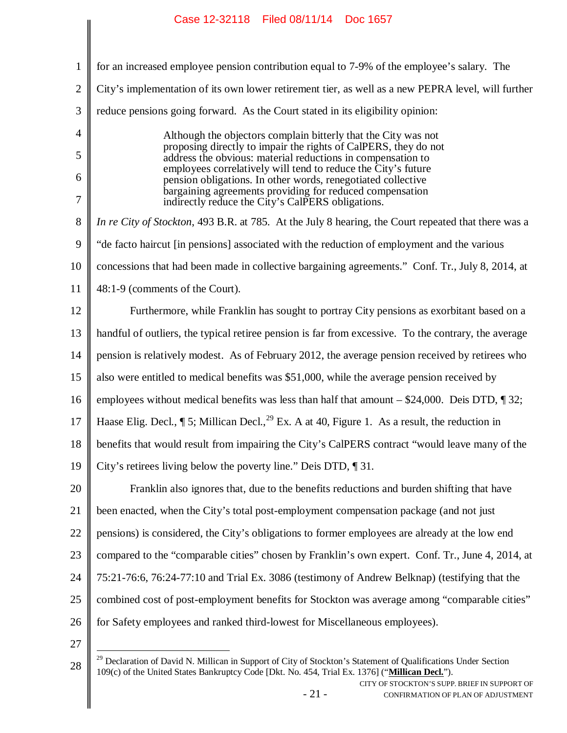| $\mathbf{1}$   | for an increased employee pension contribution equal to 7-9% of the employee's salary. The                                     |
|----------------|--------------------------------------------------------------------------------------------------------------------------------|
| $\overline{2}$ | City's implementation of its own lower retirement tier, as well as a new PEPRA level, will further                             |
| 3              | reduce pensions going forward. As the Court stated in its eligibility opinion:                                                 |
| $\overline{4}$ | Although the objectors complain bitterly that the City was not                                                                 |
| 5              | proposing directly to impair the rights of CalPERS, they do not<br>address the obvious: material reductions in compensation to |
| 6              | employees correlatively will tend to reduce the City's future<br>pension obligations. In other words, renegotiated collective  |
| 7              | bargaining agreements providing for reduced compensation<br>indirectly reduce the City's CalPERS obligations.                  |
| 8              | In re City of Stockton, 493 B.R. at 785. At the July 8 hearing, the Court repeated that there was a                            |
| 9              | "de facto haircut [in pensions] associated with the reduction of employment and the various                                    |
| 10             | concessions that had been made in collective bargaining agreements." Conf. Tr., July 8, 2014, at                               |
| 11             | 48:1-9 (comments of the Court).                                                                                                |
| 12             | Furthermore, while Franklin has sought to portray City pensions as exorbitant based on a                                       |
| 13             | handful of outliers, the typical retiree pension is far from excessive. To the contrary, the average                           |
| 14             | pension is relatively modest. As of February 2012, the average pension received by retirees who                                |
| 15             | also were entitled to medical benefits was \$51,000, while the average pension received by                                     |
| 16             | employees without medical benefits was less than half that amount $-$ \$24,000. Deis DTD, $\P$ 32;                             |
| 17             | Haase Elig. Decl., $\P$ 5; Millican Decl., <sup>29</sup> Ex. A at 40, Figure 1. As a result, the reduction in                  |
| 18             | benefits that would result from impairing the City's CalPERS contract "would leave many of the                                 |
| $19 \parallel$ | City's retirees living below the poverty line." Deis DTD, 1 31.                                                                |
| 20             | Franklin also ignores that, due to the benefits reductions and burden shifting that have                                       |
| 21             | been enacted, when the City's total post-employment compensation package (and not just                                         |
| 22             | pensions) is considered, the City's obligations to former employees are already at the low end                                 |
| 23             | compared to the "comparable cities" chosen by Franklin's own expert. Conf. Tr., June 4, 2014, at                               |
| 24             | 75:21-76:6, 76:24-77:10 and Trial Ex. 3086 (testimony of Andrew Belknap) (testifying that the                                  |
| 25             | combined cost of post-employment benefits for Stockton was average among "comparable cities"                                   |
| 26             | for Safety employees and ranked third-lowest for Miscellaneous employees).                                                     |
| 27             |                                                                                                                                |
|                |                                                                                                                                |

- 21 -

<sup>28</sup> <sup>29</sup> Declaration of David N. Millican in Support of City of Stockton's Statement of Qualifications Under Section 109(c) of the United States Bankruptcy Code [Dkt. No. 454, Trial Ex. 1376] ("**Millican Decl.**").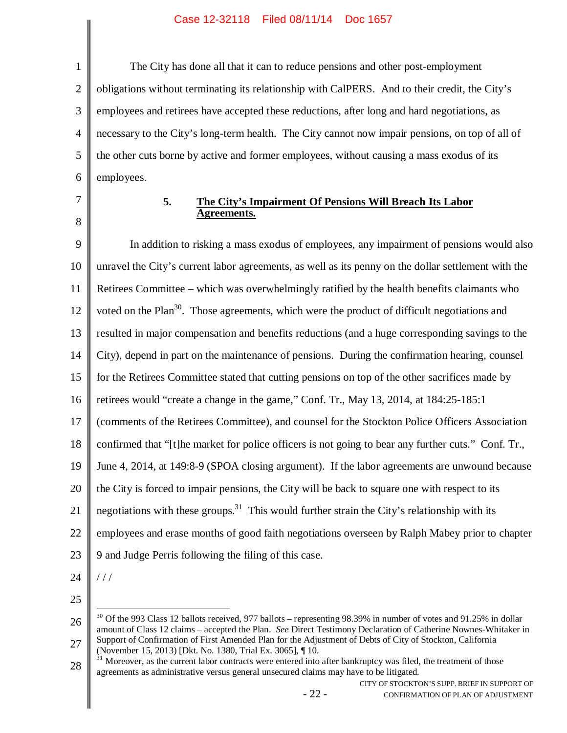1 2 3 4 5 6 The City has done all that it can to reduce pensions and other post-employment obligations without terminating its relationship with CalPERS. And to their credit, the City's employees and retirees have accepted these reductions, after long and hard negotiations, as necessary to the City's long-term health. The City cannot now impair pensions, on top of all of the other cuts borne by active and former employees, without causing a mass exodus of its employees.

7

8

#### **5. The City's Impairment Of Pensions Will Breach Its Labor Agreements.**

9 10 11 12 13 14 15 16 17 18 19 20 21 22 23 In addition to risking a mass exodus of employees, any impairment of pensions would also unravel the City's current labor agreements, as well as its penny on the dollar settlement with the Retirees Committee – which was overwhelmingly ratified by the health benefits claimants who voted on the Plan<sup>30</sup>. Those agreements, which were the product of difficult negotiations and resulted in major compensation and benefits reductions (and a huge corresponding savings to the City), depend in part on the maintenance of pensions. During the confirmation hearing, counsel for the Retirees Committee stated that cutting pensions on top of the other sacrifices made by retirees would "create a change in the game," Conf. Tr., May 13, 2014, at 184:25-185:1 (comments of the Retirees Committee), and counsel for the Stockton Police Officers Association confirmed that "[t]he market for police officers is not going to bear any further cuts." Conf. Tr., June 4, 2014, at 149:8-9 (SPOA closing argument). If the labor agreements are unwound because the City is forced to impair pensions, the City will be back to square one with respect to its negotiations with these groups.<sup>31</sup> This would further strain the City's relationship with its employees and erase months of good faith negotiations overseen by Ralph Mabey prior to chapter 9 and Judge Perris following the filing of this case.

24

/ / /

<sup>26</sup> 27 <sup>30</sup> Of the 993 Class 12 ballots received, 977 ballots – representing 98.39% in number of votes and 91.25% in dollar amount of Class 12 claims – accepted the Plan. *See* Direct Testimony Declaration of Catherine Nownes-Whitaker in Support of Confirmation of First Amended Plan for the Adjustment of Debts of City of Stockton, California (November 15, 2013) [Dkt. No. 1380, Trial Ex. 3065], ¶ 10.

<sup>28</sup>  $31$  Moreover, as the current labor contracts were entered into after bankruptcy was filed, the treatment of those agreements as administrative versus general unsecured claims may have to be litigated.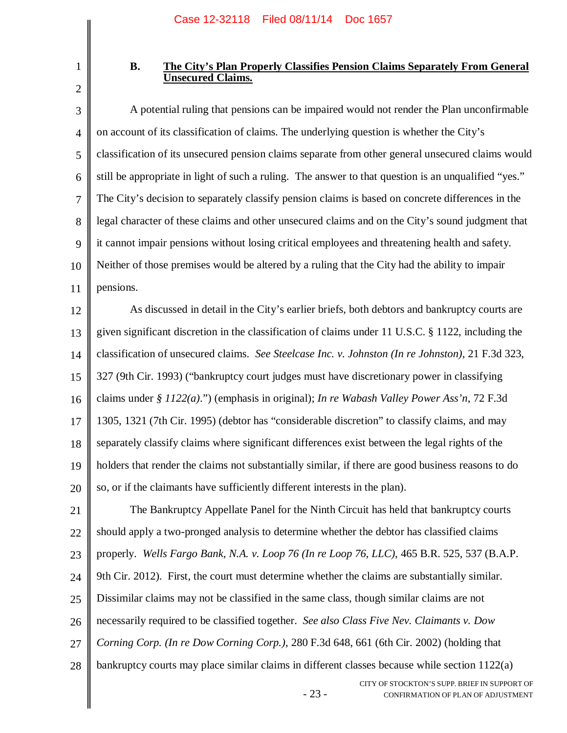1 2

### **B. The City's Plan Properly Classifies Pension Claims Separately From General Unsecured Claims.**

3 4 5 6 7 8 9 10 11 A potential ruling that pensions can be impaired would not render the Plan unconfirmable on account of its classification of claims. The underlying question is whether the City's classification of its unsecured pension claims separate from other general unsecured claims would still be appropriate in light of such a ruling. The answer to that question is an unqualified "yes." The City's decision to separately classify pension claims is based on concrete differences in the legal character of these claims and other unsecured claims and on the City's sound judgment that it cannot impair pensions without losing critical employees and threatening health and safety. Neither of those premises would be altered by a ruling that the City had the ability to impair pensions.

12 13 14 15 16 17 18 19 20 As discussed in detail in the City's earlier briefs, both debtors and bankruptcy courts are given significant discretion in the classification of claims under 11 U.S.C. § 1122, including the classification of unsecured claims. *See Steelcase Inc. v. Johnston (In re Johnston)*, 21 F.3d 323, 327 (9th Cir. 1993) ("bankruptcy court judges must have discretionary power in classifying claims under *§ 1122(a)*.") (emphasis in original); *In re Wabash Valley Power Ass'n*, 72 F.3d 1305, 1321 (7th Cir. 1995) (debtor has "considerable discretion" to classify claims, and may separately classify claims where significant differences exist between the legal rights of the holders that render the claims not substantially similar, if there are good business reasons to do so, or if the claimants have sufficiently different interests in the plan).

21 22 23 24 25 26 27 28 The Bankruptcy Appellate Panel for the Ninth Circuit has held that bankruptcy courts should apply a two-pronged analysis to determine whether the debtor has classified claims properly. *Wells Fargo Bank, N.A. v. Loop 76 (In re Loop 76, LLC)*, 465 B.R. 525, 537 (B.A.P. 9th Cir. 2012). First, the court must determine whether the claims are substantially similar. Dissimilar claims may not be classified in the same class, though similar claims are not necessarily required to be classified together. *See also Class Five Nev. Claimants v. Dow Corning Corp. (In re Dow Corning Corp.)*, 280 F.3d 648, 661 (6th Cir. 2002) (holding that bankruptcy courts may place similar claims in different classes because while section 1122(a)

- 23 -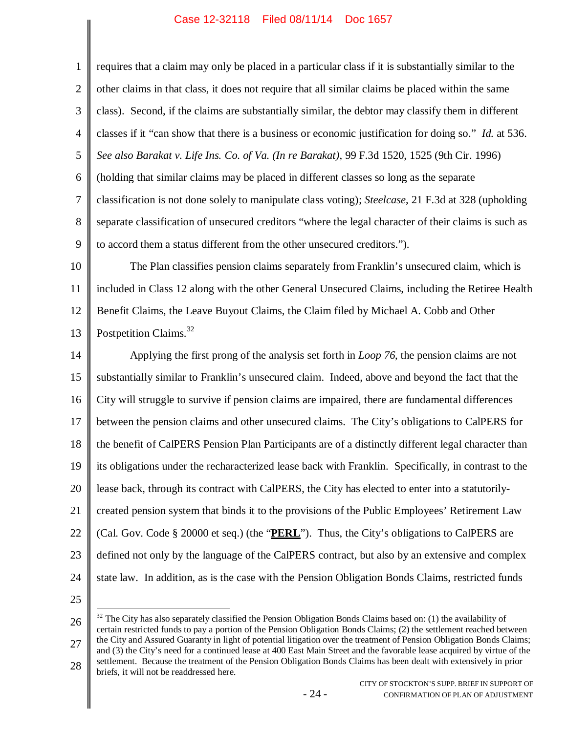| $\mathbf{1}$   | requires that a claim may only be placed in a particular class if it is substantially similar to the  |
|----------------|-------------------------------------------------------------------------------------------------------|
| $\overline{2}$ | other claims in that class, it does not require that all similar claims be placed within the same     |
| 3              | class). Second, if the claims are substantially similar, the debtor may classify them in different    |
| 4              | classes if it "can show that there is a business or economic justification for doing so." Id. at 536. |
| 5              | See also Barakat v. Life Ins. Co. of Va. (In re Barakat), 99 F.3d 1520, 1525 (9th Cir. 1996)          |
| 6              | (holding that similar claims may be placed in different classes so long as the separate               |
| $\tau$         | classification is not done solely to manipulate class voting); Steelcase, 21 F.3d at 328 (upholding   |
| 8              | separate classification of unsecured creditors "where the legal character of their claims is such as  |
| 9              | to accord them a status different from the other unsecured creditors.").                              |
| 10             | The Plan classifies pension claims separately from Franklin's unsecured claim, which is               |
| 11             | included in Class 12 along with the other General Unsecured Claims, including the Retiree Health      |
| 12             | Benefit Claims, the Leave Buyout Claims, the Claim filed by Michael A. Cobb and Other                 |
| 13             | Postpetition Claims. <sup>32</sup>                                                                    |
| 14             | Applying the first prong of the analysis set forth in <i>Loop</i> 76, the pension claims are not      |
| 15             | substantially similar to Franklin's unsecured claim. Indeed, above and beyond the fact that the       |
| 16             | City will struggle to survive if pension claims are impaired, there are fundamental differences       |
| 17             | between the pension claims and other unsecured claims. The City's obligations to CalPERS for          |
| 18             | the benefit of CalPERS Pension Plan Participants are of a distinctly different legal character than   |
| 19             | its obligations under the recharacterized lease back with Franklin. Specifically, in contrast to the  |
| 20             | lease back, through its contract with CalPERS, the City has elected to enter into a statutorily-      |
| 21             | created pension system that binds it to the provisions of the Public Employees' Retirement Law        |
| 22             | (Cal. Gov. Code § 20000 et seq.) (the "PERL"). Thus, the City's obligations to CalPERS are            |
| 23             | defined not only by the language of the CalPERS contract, but also by an extensive and complex        |
| 24             | state law. In addition, as is the case with the Pension Obligation Bonds Claims, restricted funds     |
| 25             |                                                                                                       |

26

27 <sup>32</sup> The City has also separately classified the Pension Obligation Bonds Claims based on: (1) the availability of certain restricted funds to pay a portion of the Pension Obligation Bonds Claims; (2) the settlement reached between the City and Assured Guaranty in light of potential litigation over the treatment of Pension Obligation Bonds Claims; and (3) the City's need for a continued lease at 400 East Main Street and the favorable lease acquired by virtue of the

<sup>28</sup> settlement. Because the treatment of the Pension Obligation Bonds Claims has been dealt with extensively in prior briefs, it will not be readdressed here.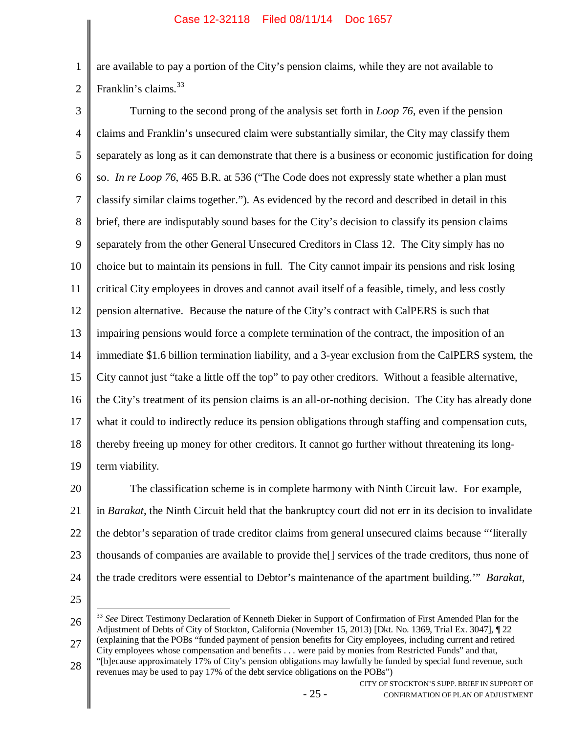1 2 are available to pay a portion of the City's pension claims, while they are not available to Franklin's claims.<sup>33</sup>

3 4 5 6 7 8 9 10 11 12 13 14 15 16 17 18 19 Turning to the second prong of the analysis set forth in *Loop 76*, even if the pension claims and Franklin's unsecured claim were substantially similar, the City may classify them separately as long as it can demonstrate that there is a business or economic justification for doing so. *In re Loop 76*, 465 B.R. at 536 ("The Code does not expressly state whether a plan must classify similar claims together."). As evidenced by the record and described in detail in this brief, there are indisputably sound bases for the City's decision to classify its pension claims separately from the other General Unsecured Creditors in Class 12. The City simply has no choice but to maintain its pensions in full. The City cannot impair its pensions and risk losing critical City employees in droves and cannot avail itself of a feasible, timely, and less costly pension alternative. Because the nature of the City's contract with CalPERS is such that impairing pensions would force a complete termination of the contract, the imposition of an immediate \$1.6 billion termination liability, and a 3-year exclusion from the CalPERS system, the City cannot just "take a little off the top" to pay other creditors. Without a feasible alternative, the City's treatment of its pension claims is an all-or-nothing decision. The City has already done what it could to indirectly reduce its pension obligations through staffing and compensation cuts, thereby freeing up money for other creditors. It cannot go further without threatening its longterm viability.

20 21 22 23 24 The classification scheme is in complete harmony with Ninth Circuit law. For example, in *Barakat*, the Ninth Circuit held that the bankruptcy court did not err in its decision to invalidate the debtor's separation of trade creditor claims from general unsecured claims because "'literally thousands of companies are available to provide the[] services of the trade creditors, thus none of the trade creditors were essential to Debtor's maintenance of the apartment building.'" *Barakat*,

25

26 27 <sup>33</sup> *See* Direct Testimony Declaration of Kenneth Dieker in Support of Confirmation of First Amended Plan for the Adjustment of Debts of City of Stockton, California (November 15, 2013) [Dkt. No. 1369, Trial Ex. 3047], ¶ 22 (explaining that the POBs "funded payment of pension benefits for City employees, including current and retired City employees whose compensation and benefits . . . were paid by monies from Restricted Funds" and that,

28 "[b]ecause approximately 17% of City's pension obligations may lawfully be funded by special fund revenue, such revenues may be used to pay 17% of the debt service obligations on the POBs")

CITY OF STOCKTON'S SUPP. BRIEF IN SUPPORT OF CONFIRMATION OF PLAN OF ADJUSTMENT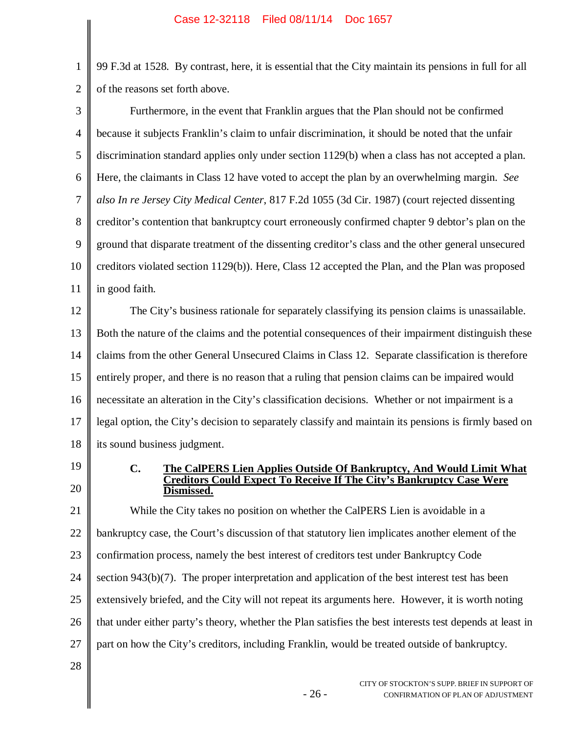1 2 99 F.3d at 1528. By contrast, here, it is essential that the City maintain its pensions in full for all of the reasons set forth above.

| 3              | Furthermore, in the event that Franklin argues that the Plan should not be confirmed                                                                           |
|----------------|----------------------------------------------------------------------------------------------------------------------------------------------------------------|
| $\overline{4}$ | because it subjects Franklin's claim to unfair discrimination, it should be noted that the unfair                                                              |
| 5              | discrimination standard applies only under section 1129(b) when a class has not accepted a plan.                                                               |
| 6              | Here, the claimants in Class 12 have voted to accept the plan by an overwhelming margin. See                                                                   |
| 7              | also In re Jersey City Medical Center, 817 F.2d 1055 (3d Cir. 1987) (court rejected dissenting                                                                 |
| 8              | creditor's contention that bankruptcy court erroneously confirmed chapter 9 debtor's plan on the                                                               |
| 9              | ground that disparate treatment of the dissenting creditor's class and the other general unsecured                                                             |
| 10             | creditors violated section 1129(b)). Here, Class 12 accepted the Plan, and the Plan was proposed                                                               |
| 11             | in good faith.                                                                                                                                                 |
| 12             | The City's business rationale for separately classifying its pension claims is unassailable.                                                                   |
| 13             | Both the nature of the claims and the potential consequences of their impairment distinguish these                                                             |
| 14             | claims from the other General Unsecured Claims in Class 12. Separate classification is therefore                                                               |
| 15             | entirely proper, and there is no reason that a ruling that pension claims can be impaired would                                                                |
| 16             | necessitate an alteration in the City's classification decisions. Whether or not impairment is a                                                               |
| 17             | legal option, the City's decision to separately classify and maintain its pensions is firmly based on                                                          |
| 18             | its sound business judgment.                                                                                                                                   |
| 19             | $\mathbf{C}$ .<br>The CalPERS Lien Applies Outside Of Bankruptcy, And Would Limit What<br>Creditors Could Expect To Receive If The City's Bankruptcy Case Were |
| 20             | Dismissed.                                                                                                                                                     |
| 21             | While the City takes no position on whether the CalPERS Lien is avoidable in a                                                                                 |
| 22             | bankruptcy case, the Court's discussion of that statutory lien implicates another element of the                                                               |
| 23             | confirmation process, namely the best interest of creditors test under Bankruptcy Code                                                                         |
| 24             | section $943(b)(7)$ . The proper interpretation and application of the best interest test has been                                                             |
| 25             | extensively briefed, and the City will not repeat its arguments here. However, it is worth noting                                                              |
| 26             | that under either party's theory, whether the Plan satisfies the best interests test depends at least in                                                       |
| 27             | part on how the City's creditors, including Franklin, would be treated outside of bankruptcy.                                                                  |
|                |                                                                                                                                                                |

- 26 -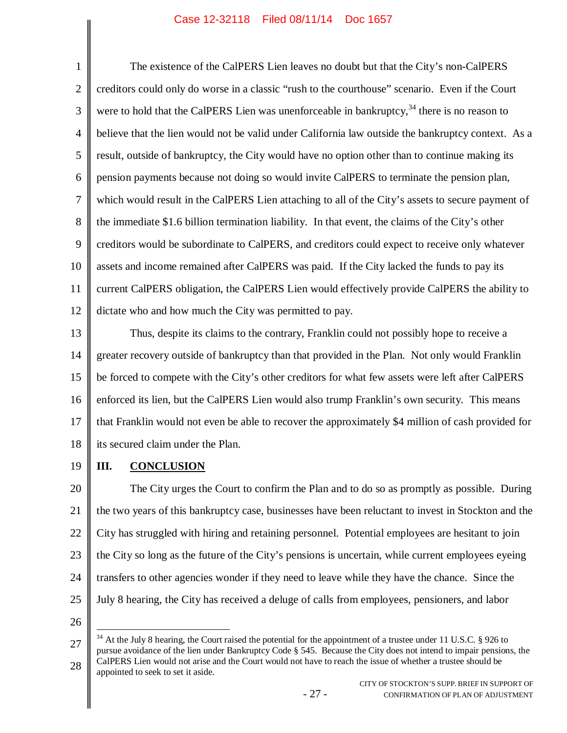1 2 3 4 5 6 7 8 9 10 11 12 The existence of the CalPERS Lien leaves no doubt but that the City's non-CalPERS creditors could only do worse in a classic "rush to the courthouse" scenario. Even if the Court were to hold that the CalPERS Lien was unenforceable in bankruptcy,  $34$  there is no reason to believe that the lien would not be valid under California law outside the bankruptcy context. As a result, outside of bankruptcy, the City would have no option other than to continue making its pension payments because not doing so would invite CalPERS to terminate the pension plan, which would result in the CalPERS Lien attaching to all of the City's assets to secure payment of the immediate \$1.6 billion termination liability. In that event, the claims of the City's other creditors would be subordinate to CalPERS, and creditors could expect to receive only whatever assets and income remained after CalPERS was paid. If the City lacked the funds to pay its current CalPERS obligation, the CalPERS Lien would effectively provide CalPERS the ability to dictate who and how much the City was permitted to pay.

13 14 15 16 17 18 Thus, despite its claims to the contrary, Franklin could not possibly hope to receive a greater recovery outside of bankruptcy than that provided in the Plan. Not only would Franklin be forced to compete with the City's other creditors for what few assets were left after CalPERS enforced its lien, but the CalPERS Lien would also trump Franklin's own security. This means that Franklin would not even be able to recover the approximately \$4 million of cash provided for its secured claim under the Plan.

19

# **III. CONCLUSION**

20 21 22 23 24 25 The City urges the Court to confirm the Plan and to do so as promptly as possible. During the two years of this bankruptcy case, businesses have been reluctant to invest in Stockton and the City has struggled with hiring and retaining personnel. Potential employees are hesitant to join the City so long as the future of the City's pensions is uncertain, while current employees eyeing transfers to other agencies wonder if they need to leave while they have the chance. Since the July 8 hearing, the City has received a deluge of calls from employees, pensioners, and labor

<sup>27</sup> 28  $34$  At the July 8 hearing, the Court raised the potential for the appointment of a trustee under 11 U.S.C. § 926 to pursue avoidance of the lien under Bankruptcy Code § 545. Because the City does not intend to impair pensions, the CalPERS Lien would not arise and the Court would not have to reach the issue of whether a trustee should be appointed to seek to set it aside.